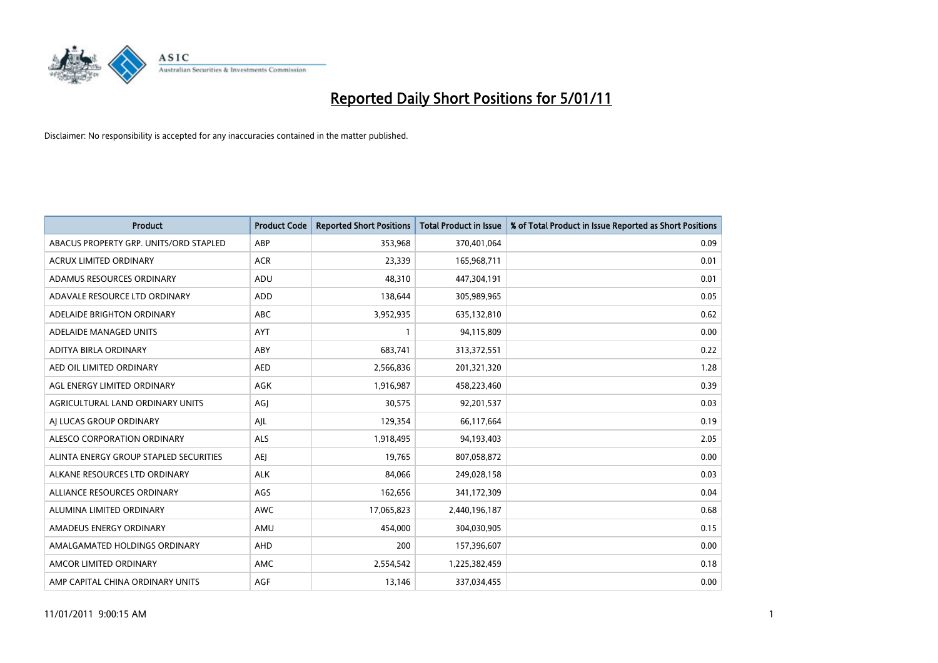

| Product                                | <b>Product Code</b> | <b>Reported Short Positions</b> | <b>Total Product in Issue</b> | % of Total Product in Issue Reported as Short Positions |
|----------------------------------------|---------------------|---------------------------------|-------------------------------|---------------------------------------------------------|
| ABACUS PROPERTY GRP. UNITS/ORD STAPLED | ABP                 | 353,968                         | 370,401,064                   | 0.09                                                    |
| <b>ACRUX LIMITED ORDINARY</b>          | <b>ACR</b>          | 23,339                          | 165,968,711                   | 0.01                                                    |
| ADAMUS RESOURCES ORDINARY              | <b>ADU</b>          | 48,310                          | 447,304,191                   | 0.01                                                    |
| ADAVALE RESOURCE LTD ORDINARY          | <b>ADD</b>          | 138,644                         | 305,989,965                   | 0.05                                                    |
| ADELAIDE BRIGHTON ORDINARY             | <b>ABC</b>          | 3,952,935                       | 635,132,810                   | 0.62                                                    |
| ADELAIDE MANAGED UNITS                 | <b>AYT</b>          | $\mathbf{1}$                    | 94,115,809                    | 0.00                                                    |
| ADITYA BIRLA ORDINARY                  | ABY                 | 683,741                         | 313,372,551                   | 0.22                                                    |
| AED OIL LIMITED ORDINARY               | <b>AED</b>          | 2,566,836                       | 201,321,320                   | 1.28                                                    |
| AGL ENERGY LIMITED ORDINARY            | <b>AGK</b>          | 1,916,987                       | 458,223,460                   | 0.39                                                    |
| AGRICULTURAL LAND ORDINARY UNITS       | AGJ                 | 30,575                          | 92,201,537                    | 0.03                                                    |
| AI LUCAS GROUP ORDINARY                | AJL                 | 129,354                         | 66,117,664                    | 0.19                                                    |
| ALESCO CORPORATION ORDINARY            | <b>ALS</b>          | 1,918,495                       | 94,193,403                    | 2.05                                                    |
| ALINTA ENERGY GROUP STAPLED SECURITIES | <b>AEJ</b>          | 19,765                          | 807,058,872                   | 0.00                                                    |
| ALKANE RESOURCES LTD ORDINARY          | <b>ALK</b>          | 84.066                          | 249,028,158                   | 0.03                                                    |
| ALLIANCE RESOURCES ORDINARY            | AGS                 | 162,656                         | 341,172,309                   | 0.04                                                    |
| ALUMINA LIMITED ORDINARY               | <b>AWC</b>          | 17,065,823                      | 2,440,196,187                 | 0.68                                                    |
| AMADEUS ENERGY ORDINARY                | AMU                 | 454,000                         | 304,030,905                   | 0.15                                                    |
| AMALGAMATED HOLDINGS ORDINARY          | AHD                 | 200                             | 157,396,607                   | 0.00                                                    |
| AMCOR LIMITED ORDINARY                 | <b>AMC</b>          | 2,554,542                       | 1,225,382,459                 | 0.18                                                    |
| AMP CAPITAL CHINA ORDINARY UNITS       | AGF                 | 13,146                          | 337,034,455                   | 0.00                                                    |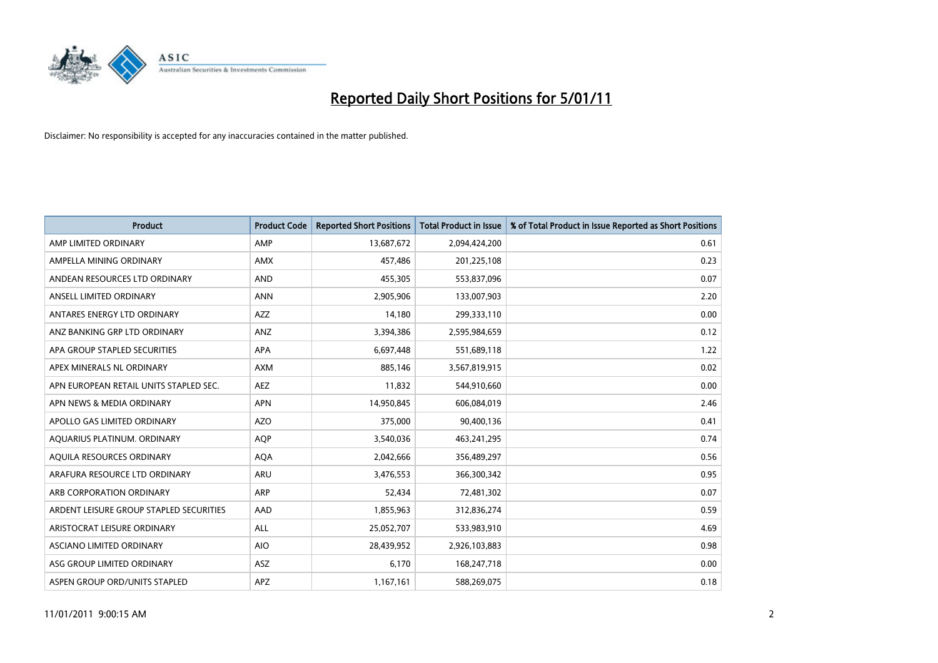

| <b>Product</b>                          | <b>Product Code</b> | <b>Reported Short Positions</b> | <b>Total Product in Issue</b> | % of Total Product in Issue Reported as Short Positions |
|-----------------------------------------|---------------------|---------------------------------|-------------------------------|---------------------------------------------------------|
| AMP LIMITED ORDINARY                    | AMP                 | 13,687,672                      | 2,094,424,200                 | 0.61                                                    |
| AMPELLA MINING ORDINARY                 | <b>AMX</b>          | 457,486                         | 201,225,108                   | 0.23                                                    |
| ANDEAN RESOURCES LTD ORDINARY           | <b>AND</b>          | 455,305                         | 553,837,096                   | 0.07                                                    |
| ANSELL LIMITED ORDINARY                 | <b>ANN</b>          | 2,905,906                       | 133,007,903                   | 2.20                                                    |
| ANTARES ENERGY LTD ORDINARY             | <b>AZZ</b>          | 14,180                          | 299,333,110                   | 0.00                                                    |
| ANZ BANKING GRP LTD ORDINARY            | <b>ANZ</b>          | 3,394,386                       | 2,595,984,659                 | 0.12                                                    |
| APA GROUP STAPLED SECURITIES            | <b>APA</b>          | 6,697,448                       | 551,689,118                   | 1.22                                                    |
| APEX MINERALS NL ORDINARY               | <b>AXM</b>          | 885,146                         | 3,567,819,915                 | 0.02                                                    |
| APN EUROPEAN RETAIL UNITS STAPLED SEC.  | <b>AEZ</b>          | 11,832                          | 544,910,660                   | 0.00                                                    |
| APN NEWS & MEDIA ORDINARY               | <b>APN</b>          | 14,950,845                      | 606,084,019                   | 2.46                                                    |
| APOLLO GAS LIMITED ORDINARY             | <b>AZO</b>          | 375,000                         | 90,400,136                    | 0.41                                                    |
| AQUARIUS PLATINUM. ORDINARY             | <b>AOP</b>          | 3,540,036                       | 463,241,295                   | 0.74                                                    |
| AQUILA RESOURCES ORDINARY               | <b>AQA</b>          | 2,042,666                       | 356,489,297                   | 0.56                                                    |
| ARAFURA RESOURCE LTD ORDINARY           | <b>ARU</b>          | 3,476,553                       | 366,300,342                   | 0.95                                                    |
| ARB CORPORATION ORDINARY                | <b>ARP</b>          | 52,434                          | 72,481,302                    | 0.07                                                    |
| ARDENT LEISURE GROUP STAPLED SECURITIES | AAD                 | 1,855,963                       | 312,836,274                   | 0.59                                                    |
| ARISTOCRAT LEISURE ORDINARY             | <b>ALL</b>          | 25,052,707                      | 533,983,910                   | 4.69                                                    |
| ASCIANO LIMITED ORDINARY                | <b>AIO</b>          | 28,439,952                      | 2,926,103,883                 | 0.98                                                    |
| ASG GROUP LIMITED ORDINARY              | ASZ                 | 6,170                           | 168,247,718                   | 0.00                                                    |
| ASPEN GROUP ORD/UNITS STAPLED           | APZ                 | 1,167,161                       | 588,269,075                   | 0.18                                                    |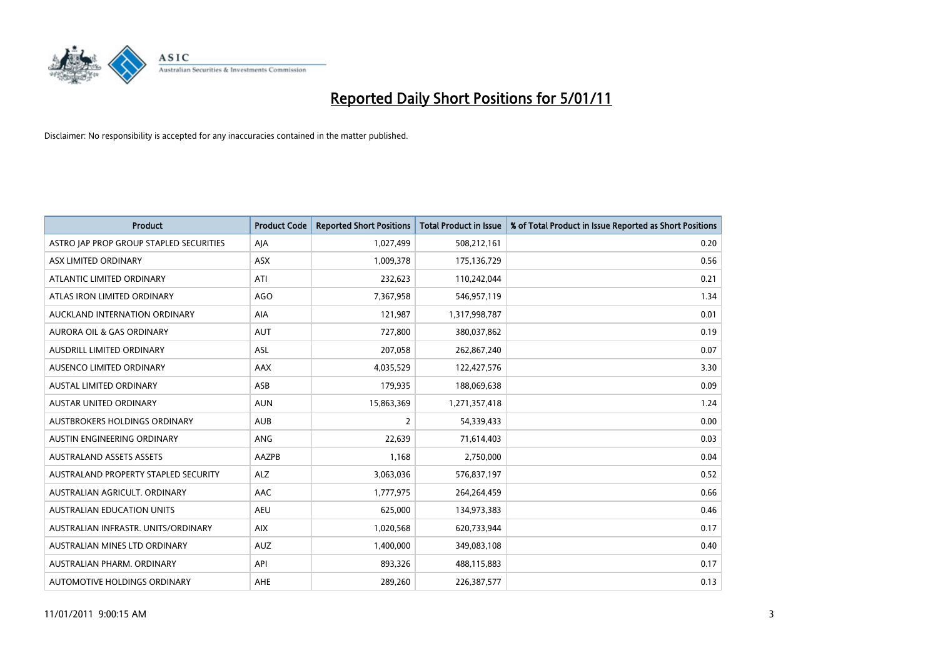

| Product                                 | <b>Product Code</b> | <b>Reported Short Positions</b> | <b>Total Product in Issue</b> | % of Total Product in Issue Reported as Short Positions |
|-----------------------------------------|---------------------|---------------------------------|-------------------------------|---------------------------------------------------------|
| ASTRO JAP PROP GROUP STAPLED SECURITIES | AJA                 | 1,027,499                       | 508,212,161                   | 0.20                                                    |
| ASX LIMITED ORDINARY                    | ASX                 | 1,009,378                       | 175,136,729                   | 0.56                                                    |
| ATLANTIC LIMITED ORDINARY               | ATI                 | 232,623                         | 110,242,044                   | 0.21                                                    |
| ATLAS IRON LIMITED ORDINARY             | AGO                 | 7,367,958                       | 546,957,119                   | 1.34                                                    |
| AUCKLAND INTERNATION ORDINARY           | AIA                 | 121,987                         | 1,317,998,787                 | 0.01                                                    |
| <b>AURORA OIL &amp; GAS ORDINARY</b>    | <b>AUT</b>          | 727,800                         | 380,037,862                   | 0.19                                                    |
| AUSDRILL LIMITED ORDINARY               | ASL                 | 207,058                         | 262,867,240                   | 0.07                                                    |
| AUSENCO LIMITED ORDINARY                | AAX                 | 4,035,529                       | 122,427,576                   | 3.30                                                    |
| AUSTAL LIMITED ORDINARY                 | ASB                 | 179,935                         | 188,069,638                   | 0.09                                                    |
| <b>AUSTAR UNITED ORDINARY</b>           | <b>AUN</b>          | 15,863,369                      | 1,271,357,418                 | 1.24                                                    |
| AUSTBROKERS HOLDINGS ORDINARY           | <b>AUB</b>          | $\overline{2}$                  | 54,339,433                    | 0.00                                                    |
| AUSTIN ENGINEERING ORDINARY             | ANG                 | 22,639                          | 71,614,403                    | 0.03                                                    |
| <b>AUSTRALAND ASSETS ASSETS</b>         | AAZPB               | 1,168                           | 2,750,000                     | 0.04                                                    |
| AUSTRALAND PROPERTY STAPLED SECURITY    | <b>ALZ</b>          | 3,063,036                       | 576,837,197                   | 0.52                                                    |
| AUSTRALIAN AGRICULT, ORDINARY           | AAC                 | 1,777,975                       | 264,264,459                   | 0.66                                                    |
| <b>AUSTRALIAN EDUCATION UNITS</b>       | <b>AEU</b>          | 625,000                         | 134,973,383                   | 0.46                                                    |
| AUSTRALIAN INFRASTR, UNITS/ORDINARY     | <b>AIX</b>          | 1,020,568                       | 620,733,944                   | 0.17                                                    |
| AUSTRALIAN MINES LTD ORDINARY           | <b>AUZ</b>          | 1,400,000                       | 349,083,108                   | 0.40                                                    |
| AUSTRALIAN PHARM, ORDINARY              | API                 | 893,326                         | 488,115,883                   | 0.17                                                    |
| AUTOMOTIVE HOLDINGS ORDINARY            | AHE                 | 289,260                         | 226,387,577                   | 0.13                                                    |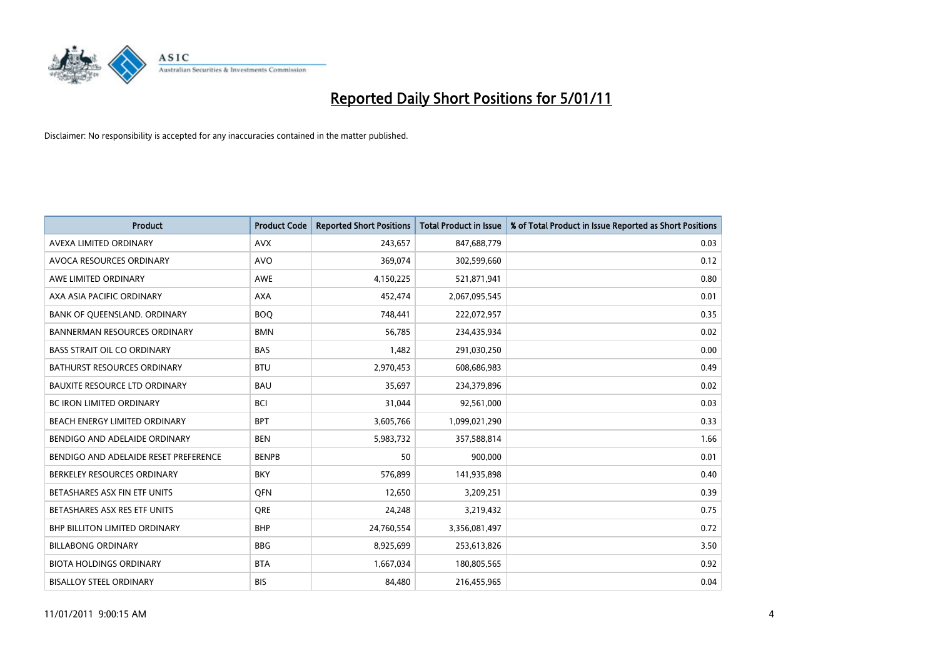

| Product                               | <b>Product Code</b> | <b>Reported Short Positions</b> | <b>Total Product in Issue</b> | % of Total Product in Issue Reported as Short Positions |
|---------------------------------------|---------------------|---------------------------------|-------------------------------|---------------------------------------------------------|
| AVEXA LIMITED ORDINARY                | <b>AVX</b>          | 243,657                         | 847,688,779                   | 0.03                                                    |
| AVOCA RESOURCES ORDINARY              | <b>AVO</b>          | 369,074                         | 302,599,660                   | 0.12                                                    |
| AWE LIMITED ORDINARY                  | <b>AWE</b>          | 4,150,225                       | 521,871,941                   | 0.80                                                    |
| AXA ASIA PACIFIC ORDINARY             | <b>AXA</b>          | 452,474                         | 2,067,095,545                 | 0.01                                                    |
| BANK OF QUEENSLAND. ORDINARY          | <b>BOO</b>          | 748,441                         | 222,072,957                   | 0.35                                                    |
| <b>BANNERMAN RESOURCES ORDINARY</b>   | <b>BMN</b>          | 56,785                          | 234,435,934                   | 0.02                                                    |
| <b>BASS STRAIT OIL CO ORDINARY</b>    | <b>BAS</b>          | 1,482                           | 291,030,250                   | 0.00                                                    |
| <b>BATHURST RESOURCES ORDINARY</b>    | <b>BTU</b>          | 2,970,453                       | 608,686,983                   | 0.49                                                    |
| BAUXITE RESOURCE LTD ORDINARY         | <b>BAU</b>          | 35,697                          | 234,379,896                   | 0.02                                                    |
| <b>BC IRON LIMITED ORDINARY</b>       | <b>BCI</b>          | 31,044                          | 92,561,000                    | 0.03                                                    |
| BEACH ENERGY LIMITED ORDINARY         | <b>BPT</b>          | 3,605,766                       | 1,099,021,290                 | 0.33                                                    |
| BENDIGO AND ADELAIDE ORDINARY         | <b>BEN</b>          | 5,983,732                       | 357,588,814                   | 1.66                                                    |
| BENDIGO AND ADELAIDE RESET PREFERENCE | <b>BENPB</b>        | 50                              | 900,000                       | 0.01                                                    |
| BERKELEY RESOURCES ORDINARY           | <b>BKY</b>          | 576,899                         | 141,935,898                   | 0.40                                                    |
| BETASHARES ASX FIN ETF UNITS          | <b>OFN</b>          | 12,650                          | 3,209,251                     | 0.39                                                    |
| BETASHARES ASX RES ETF UNITS          | <b>ORE</b>          | 24,248                          | 3,219,432                     | 0.75                                                    |
| <b>BHP BILLITON LIMITED ORDINARY</b>  | <b>BHP</b>          | 24,760,554                      | 3,356,081,497                 | 0.72                                                    |
| <b>BILLABONG ORDINARY</b>             | <b>BBG</b>          | 8,925,699                       | 253,613,826                   | 3.50                                                    |
| <b>BIOTA HOLDINGS ORDINARY</b>        | <b>BTA</b>          | 1,667,034                       | 180,805,565                   | 0.92                                                    |
| <b>BISALLOY STEEL ORDINARY</b>        | <b>BIS</b>          | 84,480                          | 216,455,965                   | 0.04                                                    |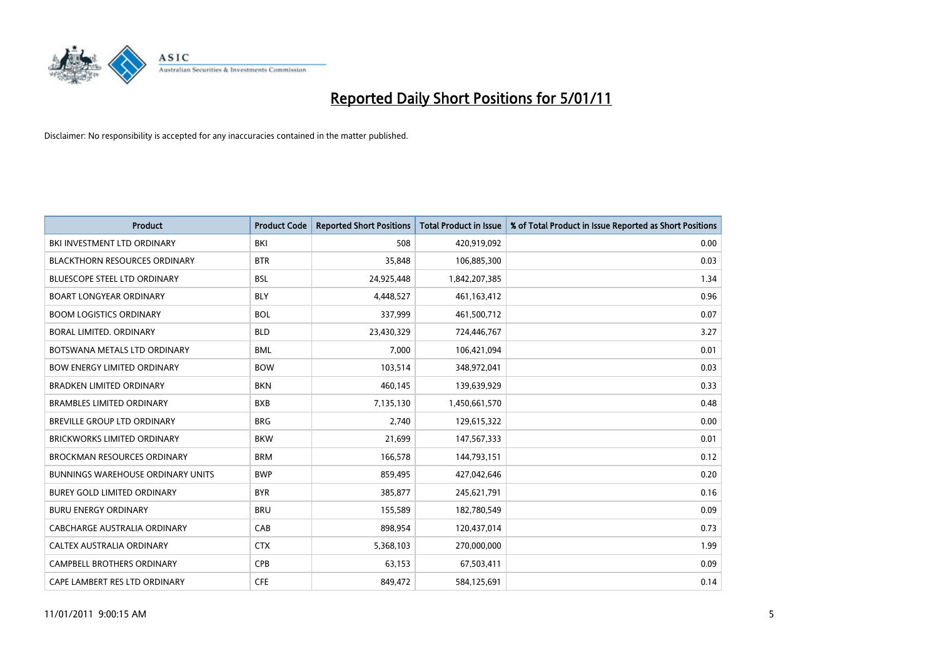

| Product                                  | <b>Product Code</b> | <b>Reported Short Positions</b> | <b>Total Product in Issue</b> | % of Total Product in Issue Reported as Short Positions |
|------------------------------------------|---------------------|---------------------------------|-------------------------------|---------------------------------------------------------|
| BKI INVESTMENT LTD ORDINARY              | BKI                 | 508                             | 420,919,092                   | 0.00                                                    |
| <b>BLACKTHORN RESOURCES ORDINARY</b>     | <b>BTR</b>          | 35,848                          | 106,885,300                   | 0.03                                                    |
| <b>BLUESCOPE STEEL LTD ORDINARY</b>      | <b>BSL</b>          | 24,925,448                      | 1,842,207,385                 | 1.34                                                    |
| <b>BOART LONGYEAR ORDINARY</b>           | <b>BLY</b>          | 4,448,527                       | 461, 163, 412                 | 0.96                                                    |
| <b>BOOM LOGISTICS ORDINARY</b>           | <b>BOL</b>          | 337,999                         | 461,500,712                   | 0.07                                                    |
| <b>BORAL LIMITED, ORDINARY</b>           | <b>BLD</b>          | 23,430,329                      | 724,446,767                   | 3.27                                                    |
| BOTSWANA METALS LTD ORDINARY             | <b>BML</b>          | 7,000                           | 106,421,094                   | 0.01                                                    |
| <b>BOW ENERGY LIMITED ORDINARY</b>       | <b>BOW</b>          | 103,514                         | 348,972,041                   | 0.03                                                    |
| BRADKEN LIMITED ORDINARY                 | <b>BKN</b>          | 460,145                         | 139,639,929                   | 0.33                                                    |
| <b>BRAMBLES LIMITED ORDINARY</b>         | <b>BXB</b>          | 7,135,130                       | 1,450,661,570                 | 0.48                                                    |
| BREVILLE GROUP LTD ORDINARY              | <b>BRG</b>          | 2,740                           | 129,615,322                   | 0.00                                                    |
| <b>BRICKWORKS LIMITED ORDINARY</b>       | <b>BKW</b>          | 21,699                          | 147,567,333                   | 0.01                                                    |
| <b>BROCKMAN RESOURCES ORDINARY</b>       | <b>BRM</b>          | 166,578                         | 144,793,151                   | 0.12                                                    |
| <b>BUNNINGS WAREHOUSE ORDINARY UNITS</b> | <b>BWP</b>          | 859,495                         | 427,042,646                   | 0.20                                                    |
| <b>BUREY GOLD LIMITED ORDINARY</b>       | <b>BYR</b>          | 385,877                         | 245,621,791                   | 0.16                                                    |
| <b>BURU ENERGY ORDINARY</b>              | <b>BRU</b>          | 155,589                         | 182,780,549                   | 0.09                                                    |
| <b>CABCHARGE AUSTRALIA ORDINARY</b>      | CAB                 | 898,954                         | 120,437,014                   | 0.73                                                    |
| CALTEX AUSTRALIA ORDINARY                | <b>CTX</b>          | 5,368,103                       | 270,000,000                   | 1.99                                                    |
| <b>CAMPBELL BROTHERS ORDINARY</b>        | CPB                 | 63,153                          | 67,503,411                    | 0.09                                                    |
| CAPE LAMBERT RES LTD ORDINARY            | <b>CFE</b>          | 849,472                         | 584,125,691                   | 0.14                                                    |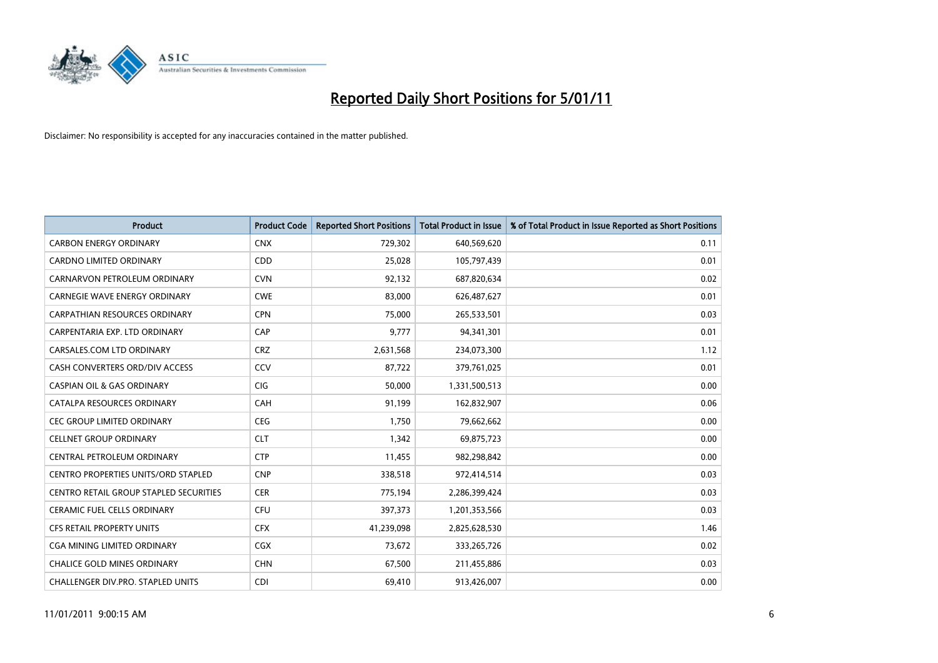

| Product                                | <b>Product Code</b> | <b>Reported Short Positions</b> | <b>Total Product in Issue</b> | % of Total Product in Issue Reported as Short Positions |
|----------------------------------------|---------------------|---------------------------------|-------------------------------|---------------------------------------------------------|
| <b>CARBON ENERGY ORDINARY</b>          | <b>CNX</b>          | 729,302                         | 640,569,620                   | 0.11                                                    |
| CARDNO LIMITED ORDINARY                | <b>CDD</b>          | 25,028                          | 105,797,439                   | 0.01                                                    |
| CARNARVON PETROLEUM ORDINARY           | <b>CVN</b>          | 92,132                          | 687,820,634                   | 0.02                                                    |
| CARNEGIE WAVE ENERGY ORDINARY          | <b>CWE</b>          | 83,000                          | 626,487,627                   | 0.01                                                    |
| <b>CARPATHIAN RESOURCES ORDINARY</b>   | <b>CPN</b>          | 75,000                          | 265,533,501                   | 0.03                                                    |
| CARPENTARIA EXP. LTD ORDINARY          | CAP                 | 9,777                           | 94,341,301                    | 0.01                                                    |
| CARSALES.COM LTD ORDINARY              | <b>CRZ</b>          | 2,631,568                       | 234,073,300                   | 1.12                                                    |
| CASH CONVERTERS ORD/DIV ACCESS         | CCV                 | 87,722                          | 379,761,025                   | 0.01                                                    |
| <b>CASPIAN OIL &amp; GAS ORDINARY</b>  | CIG                 | 50,000                          | 1,331,500,513                 | 0.00                                                    |
| CATALPA RESOURCES ORDINARY             | CAH                 | 91,199                          | 162,832,907                   | 0.06                                                    |
| CEC GROUP LIMITED ORDINARY             | CEG                 | 1,750                           | 79,662,662                    | 0.00                                                    |
| <b>CELLNET GROUP ORDINARY</b>          | <b>CLT</b>          | 1,342                           | 69,875,723                    | 0.00                                                    |
| CENTRAL PETROLEUM ORDINARY             | <b>CTP</b>          | 11,455                          | 982,298,842                   | 0.00                                                    |
| CENTRO PROPERTIES UNITS/ORD STAPLED    | <b>CNP</b>          | 338,518                         | 972,414,514                   | 0.03                                                    |
| CENTRO RETAIL GROUP STAPLED SECURITIES | <b>CER</b>          | 775,194                         | 2,286,399,424                 | 0.03                                                    |
| CERAMIC FUEL CELLS ORDINARY            | <b>CFU</b>          | 397,373                         | 1,201,353,566                 | 0.03                                                    |
| CFS RETAIL PROPERTY UNITS              | <b>CFX</b>          | 41,239,098                      | 2,825,628,530                 | 1.46                                                    |
| <b>CGA MINING LIMITED ORDINARY</b>     | <b>CGX</b>          | 73,672                          | 333,265,726                   | 0.02                                                    |
| <b>CHALICE GOLD MINES ORDINARY</b>     | <b>CHN</b>          | 67,500                          | 211,455,886                   | 0.03                                                    |
| CHALLENGER DIV.PRO. STAPLED UNITS      | <b>CDI</b>          | 69,410                          | 913,426,007                   | 0.00                                                    |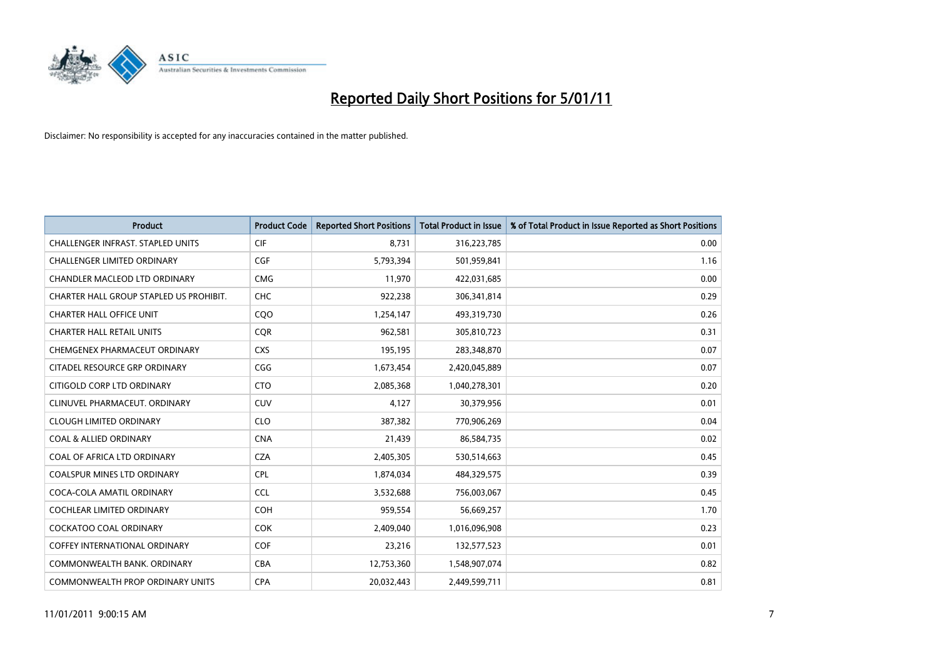

| Product                                  | <b>Product Code</b> | <b>Reported Short Positions</b> | <b>Total Product in Issue</b> | % of Total Product in Issue Reported as Short Positions |
|------------------------------------------|---------------------|---------------------------------|-------------------------------|---------------------------------------------------------|
| <b>CHALLENGER INFRAST, STAPLED UNITS</b> | <b>CIF</b>          | 8,731                           | 316,223,785                   | 0.00                                                    |
| CHALLENGER LIMITED ORDINARY              | <b>CGF</b>          | 5,793,394                       | 501,959,841                   | 1.16                                                    |
| <b>CHANDLER MACLEOD LTD ORDINARY</b>     | <b>CMG</b>          | 11,970                          | 422,031,685                   | 0.00                                                    |
| CHARTER HALL GROUP STAPLED US PROHIBIT.  | CHC                 | 922,238                         | 306,341,814                   | 0.29                                                    |
| <b>CHARTER HALL OFFICE UNIT</b>          | C <sub>O</sub> O    | 1,254,147                       | 493,319,730                   | 0.26                                                    |
| <b>CHARTER HALL RETAIL UNITS</b>         | CQR                 | 962,581                         | 305,810,723                   | 0.31                                                    |
| CHEMGENEX PHARMACEUT ORDINARY            | <b>CXS</b>          | 195,195                         | 283,348,870                   | 0.07                                                    |
| <b>CITADEL RESOURCE GRP ORDINARY</b>     | CGG                 | 1,673,454                       | 2,420,045,889                 | 0.07                                                    |
| CITIGOLD CORP LTD ORDINARY               | <b>CTO</b>          | 2,085,368                       | 1,040,278,301                 | 0.20                                                    |
| CLINUVEL PHARMACEUT, ORDINARY            | CUV                 | 4,127                           | 30,379,956                    | 0.01                                                    |
| <b>CLOUGH LIMITED ORDINARY</b>           | <b>CLO</b>          | 387,382                         | 770,906,269                   | 0.04                                                    |
| <b>COAL &amp; ALLIED ORDINARY</b>        | <b>CNA</b>          | 21,439                          | 86,584,735                    | 0.02                                                    |
| COAL OF AFRICA LTD ORDINARY              | <b>CZA</b>          | 2,405,305                       | 530,514,663                   | 0.45                                                    |
| <b>COALSPUR MINES LTD ORDINARY</b>       | <b>CPL</b>          | 1,874,034                       | 484,329,575                   | 0.39                                                    |
| COCA-COLA AMATIL ORDINARY                | <b>CCL</b>          | 3,532,688                       | 756,003,067                   | 0.45                                                    |
| <b>COCHLEAR LIMITED ORDINARY</b>         | <b>COH</b>          | 959,554                         | 56,669,257                    | 1.70                                                    |
| <b>COCKATOO COAL ORDINARY</b>            | <b>COK</b>          | 2,409,040                       | 1,016,096,908                 | 0.23                                                    |
| <b>COFFEY INTERNATIONAL ORDINARY</b>     | <b>COF</b>          | 23,216                          | 132,577,523                   | 0.01                                                    |
| COMMONWEALTH BANK, ORDINARY              | CBA                 | 12,753,360                      | 1,548,907,074                 | 0.82                                                    |
| <b>COMMONWEALTH PROP ORDINARY UNITS</b>  | <b>CPA</b>          | 20,032,443                      | 2,449,599,711                 | 0.81                                                    |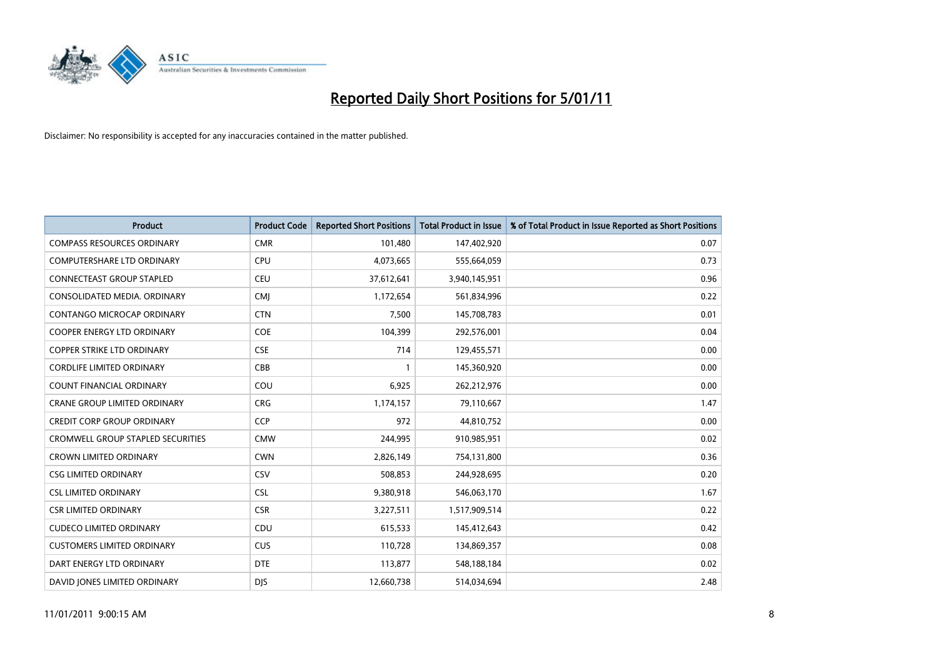

| Product                                  | <b>Product Code</b> | <b>Reported Short Positions</b> | <b>Total Product in Issue</b> | % of Total Product in Issue Reported as Short Positions |
|------------------------------------------|---------------------|---------------------------------|-------------------------------|---------------------------------------------------------|
| <b>COMPASS RESOURCES ORDINARY</b>        | <b>CMR</b>          | 101,480                         | 147,402,920                   | 0.07                                                    |
| COMPUTERSHARE LTD ORDINARY               | <b>CPU</b>          | 4,073,665                       | 555,664,059                   | 0.73                                                    |
| <b>CONNECTEAST GROUP STAPLED</b>         | <b>CEU</b>          | 37,612,641                      | 3,940,145,951                 | 0.96                                                    |
| CONSOLIDATED MEDIA. ORDINARY             | <b>CMJ</b>          | 1,172,654                       | 561,834,996                   | 0.22                                                    |
| <b>CONTANGO MICROCAP ORDINARY</b>        | <b>CTN</b>          | 7,500                           | 145,708,783                   | 0.01                                                    |
| <b>COOPER ENERGY LTD ORDINARY</b>        | <b>COE</b>          | 104,399                         | 292,576,001                   | 0.04                                                    |
| <b>COPPER STRIKE LTD ORDINARY</b>        | <b>CSE</b>          | 714                             | 129,455,571                   | 0.00                                                    |
| <b>CORDLIFE LIMITED ORDINARY</b>         | CBB                 | $\mathbf{1}$                    | 145,360,920                   | 0.00                                                    |
| <b>COUNT FINANCIAL ORDINARY</b>          | COU                 | 6,925                           | 262,212,976                   | 0.00                                                    |
| <b>CRANE GROUP LIMITED ORDINARY</b>      | <b>CRG</b>          | 1,174,157                       | 79,110,667                    | 1.47                                                    |
| <b>CREDIT CORP GROUP ORDINARY</b>        | CCP                 | 972                             | 44,810,752                    | 0.00                                                    |
| <b>CROMWELL GROUP STAPLED SECURITIES</b> | <b>CMW</b>          | 244,995                         | 910,985,951                   | 0.02                                                    |
| <b>CROWN LIMITED ORDINARY</b>            | <b>CWN</b>          | 2,826,149                       | 754,131,800                   | 0.36                                                    |
| <b>CSG LIMITED ORDINARY</b>              | CSV                 | 508,853                         | 244,928,695                   | 0.20                                                    |
| <b>CSL LIMITED ORDINARY</b>              | <b>CSL</b>          | 9,380,918                       | 546,063,170                   | 1.67                                                    |
| <b>CSR LIMITED ORDINARY</b>              | <b>CSR</b>          | 3,227,511                       | 1,517,909,514                 | 0.22                                                    |
| <b>CUDECO LIMITED ORDINARY</b>           | CDU                 | 615,533                         | 145,412,643                   | 0.42                                                    |
| <b>CUSTOMERS LIMITED ORDINARY</b>        | <b>CUS</b>          | 110,728                         | 134,869,357                   | 0.08                                                    |
| DART ENERGY LTD ORDINARY                 | <b>DTE</b>          | 113,877                         | 548,188,184                   | 0.02                                                    |
| DAVID JONES LIMITED ORDINARY             | <b>DJS</b>          | 12,660,738                      | 514,034,694                   | 2.48                                                    |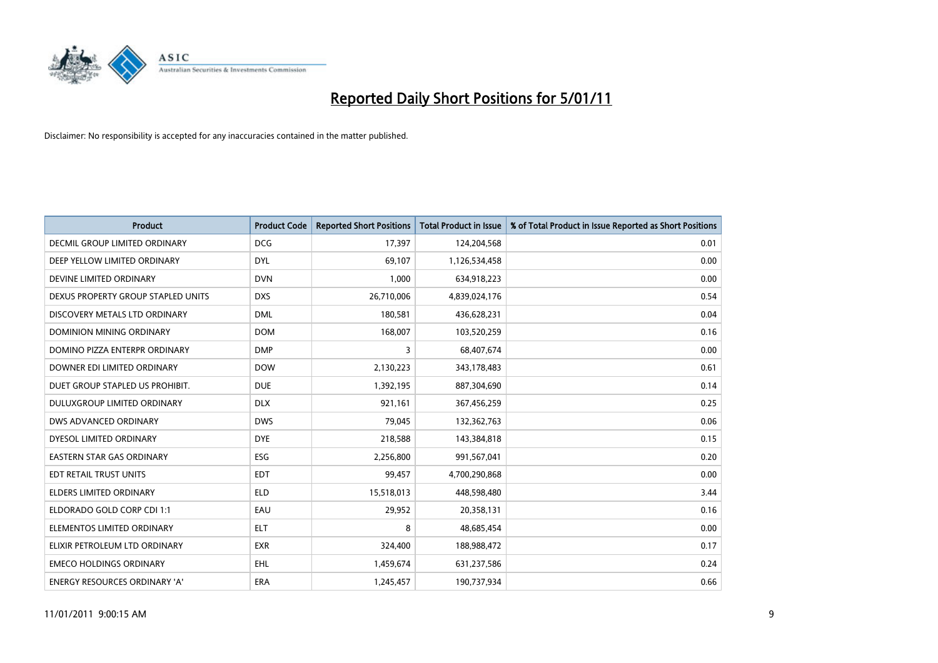

| Product                            | <b>Product Code</b> | <b>Reported Short Positions</b> | <b>Total Product in Issue</b> | % of Total Product in Issue Reported as Short Positions |
|------------------------------------|---------------------|---------------------------------|-------------------------------|---------------------------------------------------------|
| DECMIL GROUP LIMITED ORDINARY      | <b>DCG</b>          | 17,397                          | 124,204,568                   | 0.01                                                    |
| DEEP YELLOW LIMITED ORDINARY       | <b>DYL</b>          | 69,107                          | 1,126,534,458                 | 0.00                                                    |
| DEVINE LIMITED ORDINARY            | <b>DVN</b>          | 1,000                           | 634,918,223                   | 0.00                                                    |
| DEXUS PROPERTY GROUP STAPLED UNITS | <b>DXS</b>          | 26,710,006                      | 4,839,024,176                 | 0.54                                                    |
| DISCOVERY METALS LTD ORDINARY      | <b>DML</b>          | 180,581                         | 436,628,231                   | 0.04                                                    |
| DOMINION MINING ORDINARY           | <b>DOM</b>          | 168,007                         | 103,520,259                   | 0.16                                                    |
| DOMINO PIZZA ENTERPR ORDINARY      | <b>DMP</b>          | 3                               | 68,407,674                    | 0.00                                                    |
| DOWNER EDI LIMITED ORDINARY        | <b>DOW</b>          | 2,130,223                       | 343,178,483                   | 0.61                                                    |
| DUET GROUP STAPLED US PROHIBIT.    | <b>DUE</b>          | 1,392,195                       | 887,304,690                   | 0.14                                                    |
| DULUXGROUP LIMITED ORDINARY        | <b>DLX</b>          | 921,161                         | 367,456,259                   | 0.25                                                    |
| DWS ADVANCED ORDINARY              | <b>DWS</b>          | 79,045                          | 132,362,763                   | 0.06                                                    |
| DYESOL LIMITED ORDINARY            | <b>DYE</b>          | 218,588                         | 143,384,818                   | 0.15                                                    |
| <b>EASTERN STAR GAS ORDINARY</b>   | <b>ESG</b>          | 2,256,800                       | 991,567,041                   | 0.20                                                    |
| EDT RETAIL TRUST UNITS             | <b>EDT</b>          | 99,457                          | 4,700,290,868                 | 0.00                                                    |
| <b>ELDERS LIMITED ORDINARY</b>     | <b>ELD</b>          | 15,518,013                      | 448,598,480                   | 3.44                                                    |
| ELDORADO GOLD CORP CDI 1:1         | EAU                 | 29,952                          | 20,358,131                    | 0.16                                                    |
| ELEMENTOS LIMITED ORDINARY         | <b>ELT</b>          | 8                               | 48,685,454                    | 0.00                                                    |
| ELIXIR PETROLEUM LTD ORDINARY      | <b>EXR</b>          | 324,400                         | 188,988,472                   | 0.17                                                    |
| <b>EMECO HOLDINGS ORDINARY</b>     | <b>EHL</b>          | 1,459,674                       | 631,237,586                   | 0.24                                                    |
| ENERGY RESOURCES ORDINARY 'A'      | ERA                 | 1,245,457                       | 190,737,934                   | 0.66                                                    |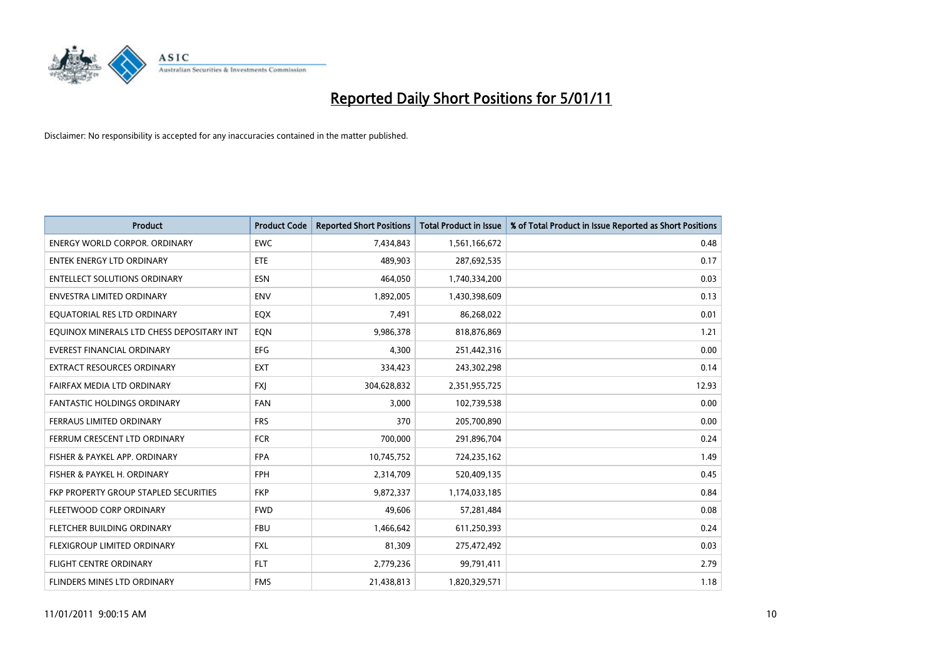

| Product                                   | <b>Product Code</b> | <b>Reported Short Positions</b> | <b>Total Product in Issue</b> | % of Total Product in Issue Reported as Short Positions |
|-------------------------------------------|---------------------|---------------------------------|-------------------------------|---------------------------------------------------------|
| <b>ENERGY WORLD CORPOR, ORDINARY</b>      | <b>EWC</b>          | 7,434,843                       | 1,561,166,672                 | 0.48                                                    |
| ENTEK ENERGY LTD ORDINARY                 | ETE.                | 489,903                         | 287,692,535                   | 0.17                                                    |
| <b>ENTELLECT SOLUTIONS ORDINARY</b>       | <b>ESN</b>          | 464,050                         | 1,740,334,200                 | 0.03                                                    |
| <b>ENVESTRA LIMITED ORDINARY</b>          | <b>ENV</b>          | 1,892,005                       | 1,430,398,609                 | 0.13                                                    |
| EQUATORIAL RES LTD ORDINARY               | EQX                 | 7,491                           | 86,268,022                    | 0.01                                                    |
| EOUINOX MINERALS LTD CHESS DEPOSITARY INT | EQN                 | 9,986,378                       | 818,876,869                   | 1.21                                                    |
| EVEREST FINANCIAL ORDINARY                | <b>EFG</b>          | 4,300                           | 251,442,316                   | 0.00                                                    |
| EXTRACT RESOURCES ORDINARY                | <b>EXT</b>          | 334,423                         | 243,302,298                   | 0.14                                                    |
| FAIRFAX MEDIA LTD ORDINARY                | <b>FXI</b>          | 304,628,832                     | 2,351,955,725                 | 12.93                                                   |
| <b>FANTASTIC HOLDINGS ORDINARY</b>        | <b>FAN</b>          | 3,000                           | 102,739,538                   | 0.00                                                    |
| FERRAUS LIMITED ORDINARY                  | <b>FRS</b>          | 370                             | 205,700,890                   | 0.00                                                    |
| FERRUM CRESCENT LTD ORDINARY              | <b>FCR</b>          | 700,000                         | 291,896,704                   | 0.24                                                    |
| FISHER & PAYKEL APP. ORDINARY             | <b>FPA</b>          | 10,745,752                      | 724,235,162                   | 1.49                                                    |
| FISHER & PAYKEL H. ORDINARY               | <b>FPH</b>          | 2,314,709                       | 520,409,135                   | 0.45                                                    |
| FKP PROPERTY GROUP STAPLED SECURITIES     | <b>FKP</b>          | 9,872,337                       | 1,174,033,185                 | 0.84                                                    |
| FLEETWOOD CORP ORDINARY                   | <b>FWD</b>          | 49.606                          | 57,281,484                    | 0.08                                                    |
| FLETCHER BUILDING ORDINARY                | <b>FBU</b>          | 1,466,642                       | 611,250,393                   | 0.24                                                    |
| FLEXIGROUP LIMITED ORDINARY               | <b>FXL</b>          | 81,309                          | 275,472,492                   | 0.03                                                    |
| <b>FLIGHT CENTRE ORDINARY</b>             | <b>FLT</b>          | 2,779,236                       | 99,791,411                    | 2.79                                                    |
| FLINDERS MINES LTD ORDINARY               | <b>FMS</b>          | 21,438,813                      | 1,820,329,571                 | 1.18                                                    |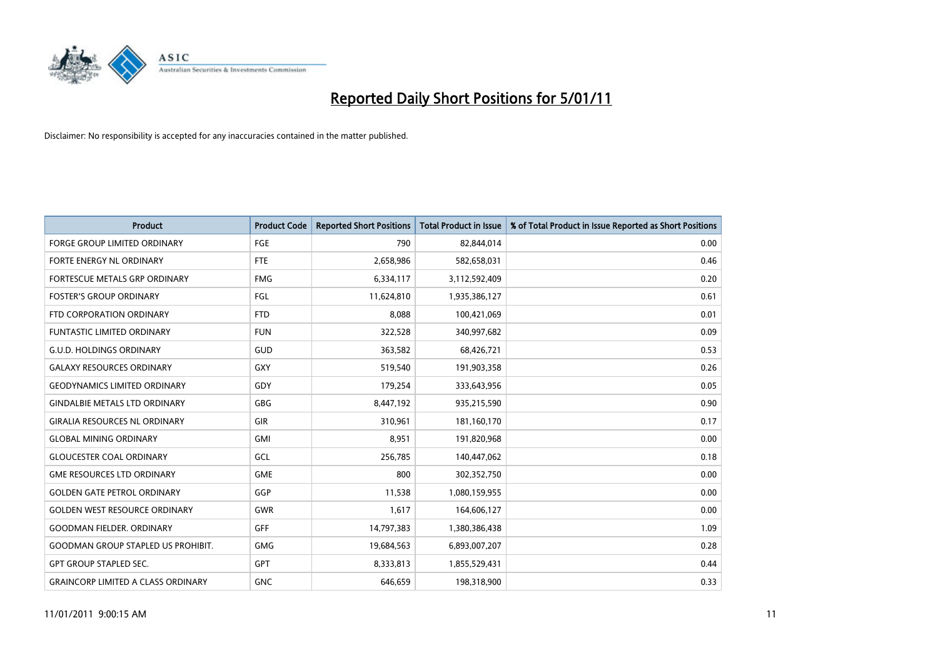

| <b>Product</b>                            | <b>Product Code</b> | <b>Reported Short Positions</b> | <b>Total Product in Issue</b> | % of Total Product in Issue Reported as Short Positions |
|-------------------------------------------|---------------------|---------------------------------|-------------------------------|---------------------------------------------------------|
| <b>FORGE GROUP LIMITED ORDINARY</b>       | FGE                 | 790                             | 82,844,014                    | 0.00                                                    |
| FORTE ENERGY NL ORDINARY                  | <b>FTE</b>          | 2,658,986                       | 582,658,031                   | 0.46                                                    |
| FORTESCUE METALS GRP ORDINARY             | <b>FMG</b>          | 6,334,117                       | 3,112,592,409                 | 0.20                                                    |
| <b>FOSTER'S GROUP ORDINARY</b>            | FGL                 | 11,624,810                      | 1,935,386,127                 | 0.61                                                    |
| FTD CORPORATION ORDINARY                  | <b>FTD</b>          | 8,088                           | 100,421,069                   | 0.01                                                    |
| <b>FUNTASTIC LIMITED ORDINARY</b>         | <b>FUN</b>          | 322,528                         | 340,997,682                   | 0.09                                                    |
| <b>G.U.D. HOLDINGS ORDINARY</b>           | GUD                 | 363,582                         | 68,426,721                    | 0.53                                                    |
| <b>GALAXY RESOURCES ORDINARY</b>          | <b>GXY</b>          | 519,540                         | 191,903,358                   | 0.26                                                    |
| <b>GEODYNAMICS LIMITED ORDINARY</b>       | GDY                 | 179,254                         | 333,643,956                   | 0.05                                                    |
| <b>GINDALBIE METALS LTD ORDINARY</b>      | <b>GBG</b>          | 8,447,192                       | 935,215,590                   | 0.90                                                    |
| <b>GIRALIA RESOURCES NL ORDINARY</b>      | <b>GIR</b>          | 310,961                         | 181,160,170                   | 0.17                                                    |
| <b>GLOBAL MINING ORDINARY</b>             | <b>GMI</b>          | 8,951                           | 191,820,968                   | 0.00                                                    |
| <b>GLOUCESTER COAL ORDINARY</b>           | GCL                 | 256,785                         | 140,447,062                   | 0.18                                                    |
| <b>GME RESOURCES LTD ORDINARY</b>         | <b>GME</b>          | 800                             | 302,352,750                   | 0.00                                                    |
| <b>GOLDEN GATE PETROL ORDINARY</b>        | GGP                 | 11,538                          | 1,080,159,955                 | 0.00                                                    |
| <b>GOLDEN WEST RESOURCE ORDINARY</b>      | GWR                 | 1,617                           | 164,606,127                   | 0.00                                                    |
| <b>GOODMAN FIELDER, ORDINARY</b>          | GFF                 | 14,797,383                      | 1,380,386,438                 | 1.09                                                    |
| <b>GOODMAN GROUP STAPLED US PROHIBIT.</b> | <b>GMG</b>          | 19,684,563                      | 6,893,007,207                 | 0.28                                                    |
| <b>GPT GROUP STAPLED SEC.</b>             | GPT                 | 8,333,813                       | 1,855,529,431                 | 0.44                                                    |
| <b>GRAINCORP LIMITED A CLASS ORDINARY</b> | <b>GNC</b>          | 646,659                         | 198,318,900                   | 0.33                                                    |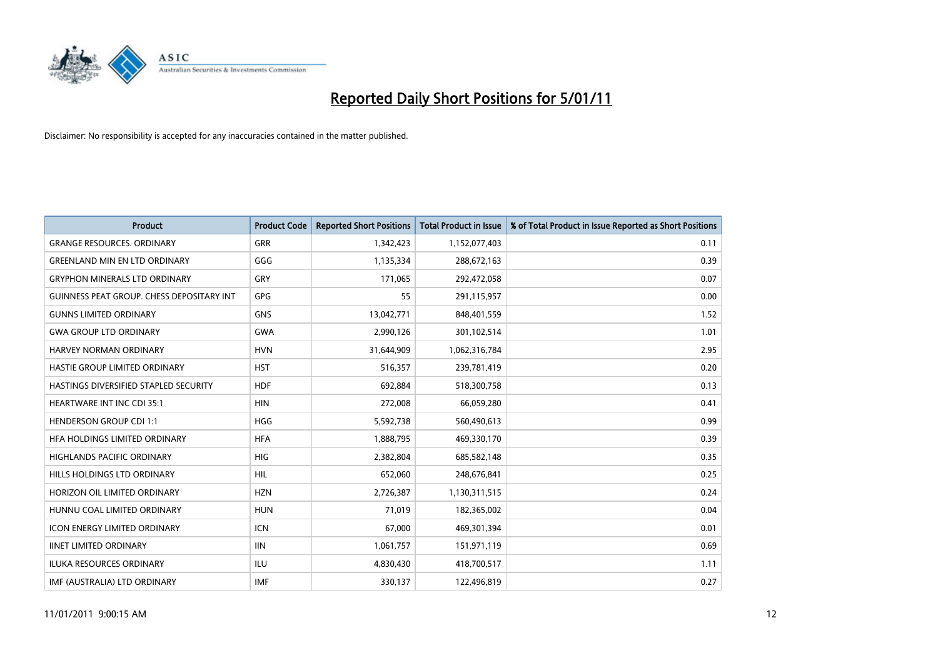

| <b>Product</b>                                   | <b>Product Code</b> | <b>Reported Short Positions</b> | <b>Total Product in Issue</b> | % of Total Product in Issue Reported as Short Positions |
|--------------------------------------------------|---------------------|---------------------------------|-------------------------------|---------------------------------------------------------|
| <b>GRANGE RESOURCES, ORDINARY</b>                | <b>GRR</b>          | 1,342,423                       | 1,152,077,403                 | 0.11                                                    |
| <b>GREENLAND MIN EN LTD ORDINARY</b>             | GGG                 | 1,135,334                       | 288,672,163                   | 0.39                                                    |
| <b>GRYPHON MINERALS LTD ORDINARY</b>             | GRY                 | 171,065                         | 292,472,058                   | 0.07                                                    |
| <b>GUINNESS PEAT GROUP. CHESS DEPOSITARY INT</b> | <b>GPG</b>          | 55                              | 291,115,957                   | 0.00                                                    |
| <b>GUNNS LIMITED ORDINARY</b>                    | <b>GNS</b>          | 13,042,771                      | 848,401,559                   | 1.52                                                    |
| <b>GWA GROUP LTD ORDINARY</b>                    | <b>GWA</b>          | 2,990,126                       | 301,102,514                   | 1.01                                                    |
| HARVEY NORMAN ORDINARY                           | <b>HVN</b>          | 31,644,909                      | 1,062,316,784                 | 2.95                                                    |
| HASTIE GROUP LIMITED ORDINARY                    | <b>HST</b>          | 516,357                         | 239,781,419                   | 0.20                                                    |
| HASTINGS DIVERSIFIED STAPLED SECURITY            | <b>HDF</b>          | 692.884                         | 518,300,758                   | 0.13                                                    |
| <b>HEARTWARE INT INC CDI 35:1</b>                | <b>HIN</b>          | 272,008                         | 66,059,280                    | 0.41                                                    |
| <b>HENDERSON GROUP CDI 1:1</b>                   | <b>HGG</b>          | 5,592,738                       | 560,490,613                   | 0.99                                                    |
| HEA HOLDINGS LIMITED ORDINARY                    | <b>HFA</b>          | 1,888,795                       | 469,330,170                   | 0.39                                                    |
| HIGHLANDS PACIFIC ORDINARY                       | HIG                 | 2,382,804                       | 685,582,148                   | 0.35                                                    |
| HILLS HOLDINGS LTD ORDINARY                      | <b>HIL</b>          | 652,060                         | 248,676,841                   | 0.25                                                    |
| HORIZON OIL LIMITED ORDINARY                     | <b>HZN</b>          | 2,726,387                       | 1,130,311,515                 | 0.24                                                    |
| HUNNU COAL LIMITED ORDINARY                      | <b>HUN</b>          | 71,019                          | 182,365,002                   | 0.04                                                    |
| <b>ICON ENERGY LIMITED ORDINARY</b>              | <b>ICN</b>          | 67,000                          | 469,301,394                   | 0.01                                                    |
| <b>IINET LIMITED ORDINARY</b>                    | <b>IIN</b>          | 1,061,757                       | 151,971,119                   | 0.69                                                    |
| <b>ILUKA RESOURCES ORDINARY</b>                  | ILU                 | 4,830,430                       | 418,700,517                   | 1.11                                                    |
| IMF (AUSTRALIA) LTD ORDINARY                     | <b>IMF</b>          | 330,137                         | 122,496,819                   | 0.27                                                    |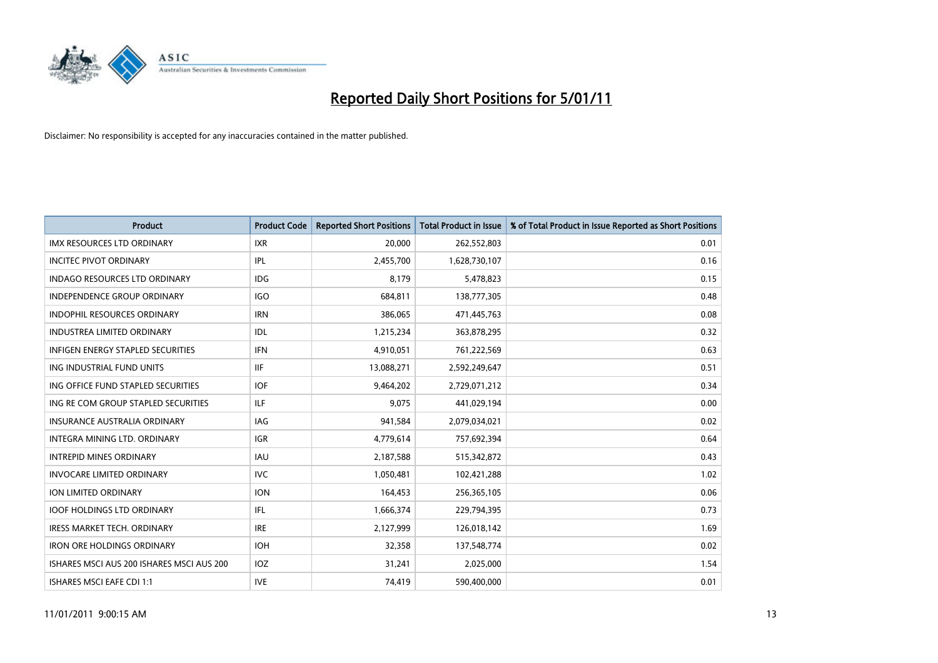

| Product                                   | <b>Product Code</b> | <b>Reported Short Positions</b> | <b>Total Product in Issue</b> | % of Total Product in Issue Reported as Short Positions |
|-------------------------------------------|---------------------|---------------------------------|-------------------------------|---------------------------------------------------------|
| <b>IMX RESOURCES LTD ORDINARY</b>         | <b>IXR</b>          | 20,000                          | 262,552,803                   | 0.01                                                    |
| <b>INCITEC PIVOT ORDINARY</b>             | IPL                 | 2,455,700                       | 1,628,730,107                 | 0.16                                                    |
| INDAGO RESOURCES LTD ORDINARY             | <b>IDG</b>          | 8,179                           | 5,478,823                     | 0.15                                                    |
| <b>INDEPENDENCE GROUP ORDINARY</b>        | <b>IGO</b>          | 684,811                         | 138,777,305                   | 0.48                                                    |
| <b>INDOPHIL RESOURCES ORDINARY</b>        | <b>IRN</b>          | 386,065                         | 471,445,763                   | 0.08                                                    |
| <b>INDUSTREA LIMITED ORDINARY</b>         | IDL                 | 1,215,234                       | 363,878,295                   | 0.32                                                    |
| <b>INFIGEN ENERGY STAPLED SECURITIES</b>  | <b>IFN</b>          | 4,910,051                       | 761,222,569                   | 0.63                                                    |
| ING INDUSTRIAL FUND UNITS                 | <b>IIF</b>          | 13,088,271                      | 2,592,249,647                 | 0.51                                                    |
| ING OFFICE FUND STAPLED SECURITIES        | <b>IOF</b>          | 9,464,202                       | 2,729,071,212                 | 0.34                                                    |
| ING RE COM GROUP STAPLED SECURITIES       | <b>ILF</b>          | 9,075                           | 441,029,194                   | 0.00                                                    |
| <b>INSURANCE AUSTRALIA ORDINARY</b>       | IAG.                | 941,584                         | 2,079,034,021                 | 0.02                                                    |
| INTEGRA MINING LTD, ORDINARY              | IGR                 | 4,779,614                       | 757,692,394                   | 0.64                                                    |
| <b>INTREPID MINES ORDINARY</b>            | <b>IAU</b>          | 2,187,588                       | 515,342,872                   | 0.43                                                    |
| <b>INVOCARE LIMITED ORDINARY</b>          | <b>IVC</b>          | 1,050,481                       | 102,421,288                   | 1.02                                                    |
| <b>ION LIMITED ORDINARY</b>               | <b>ION</b>          | 164,453                         | 256,365,105                   | 0.06                                                    |
| <b>IOOF HOLDINGS LTD ORDINARY</b>         | IFL.                | 1,666,374                       | 229,794,395                   | 0.73                                                    |
| IRESS MARKET TECH. ORDINARY               | <b>IRE</b>          | 2,127,999                       | 126,018,142                   | 1.69                                                    |
| <b>IRON ORE HOLDINGS ORDINARY</b>         | <b>IOH</b>          | 32,358                          | 137,548,774                   | 0.02                                                    |
| ISHARES MSCI AUS 200 ISHARES MSCI AUS 200 | <b>IOZ</b>          | 31,241                          | 2,025,000                     | 1.54                                                    |
| ISHARES MSCI EAFE CDI 1:1                 | <b>IVE</b>          | 74,419                          | 590,400,000                   | 0.01                                                    |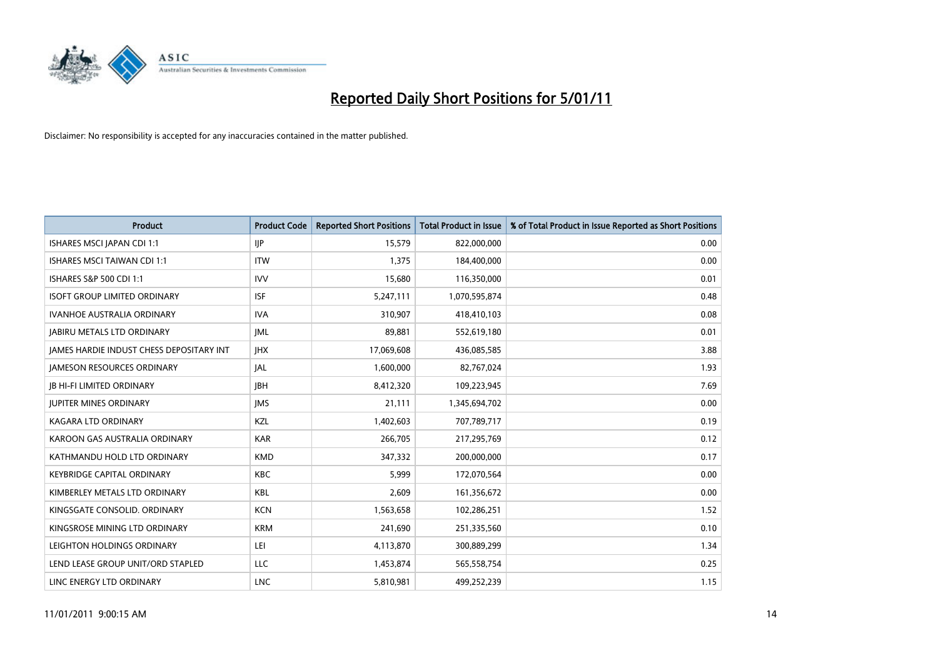

| Product                                  | <b>Product Code</b> | <b>Reported Short Positions</b> | <b>Total Product in Issue</b> | % of Total Product in Issue Reported as Short Positions |
|------------------------------------------|---------------------|---------------------------------|-------------------------------|---------------------------------------------------------|
| ISHARES MSCI JAPAN CDI 1:1               | IJP                 | 15,579                          | 822,000,000                   | 0.00                                                    |
| ISHARES MSCI TAIWAN CDI 1:1              | <b>ITW</b>          | 1,375                           | 184,400,000                   | 0.00                                                    |
| ISHARES S&P 500 CDI 1:1                  | <b>IVV</b>          | 15,680                          | 116,350,000                   | 0.01                                                    |
| <b>ISOFT GROUP LIMITED ORDINARY</b>      | <b>ISF</b>          | 5,247,111                       | 1,070,595,874                 | 0.48                                                    |
| <b>IVANHOE AUSTRALIA ORDINARY</b>        | <b>IVA</b>          | 310,907                         | 418,410,103                   | 0.08                                                    |
| <b>JABIRU METALS LTD ORDINARY</b>        | <b>JML</b>          | 89,881                          | 552,619,180                   | 0.01                                                    |
| JAMES HARDIE INDUST CHESS DEPOSITARY INT | <b>JHX</b>          | 17,069,608                      | 436,085,585                   | 3.88                                                    |
| <b>JAMESON RESOURCES ORDINARY</b>        | JAL                 | 1,600,000                       | 82,767,024                    | 1.93                                                    |
| <b>JB HI-FI LIMITED ORDINARY</b>         | <b>IBH</b>          | 8,412,320                       | 109,223,945                   | 7.69                                                    |
| <b>JUPITER MINES ORDINARY</b>            | <b>IMS</b>          | 21,111                          | 1,345,694,702                 | 0.00                                                    |
| KAGARA LTD ORDINARY                      | KZL                 | 1,402,603                       | 707,789,717                   | 0.19                                                    |
| KAROON GAS AUSTRALIA ORDINARY            | <b>KAR</b>          | 266,705                         | 217,295,769                   | 0.12                                                    |
| KATHMANDU HOLD LTD ORDINARY              | <b>KMD</b>          | 347,332                         | 200,000,000                   | 0.17                                                    |
| <b>KEYBRIDGE CAPITAL ORDINARY</b>        | <b>KBC</b>          | 5,999                           | 172,070,564                   | 0.00                                                    |
| KIMBERLEY METALS LTD ORDINARY            | <b>KBL</b>          | 2,609                           | 161,356,672                   | 0.00                                                    |
| KINGSGATE CONSOLID. ORDINARY             | <b>KCN</b>          | 1,563,658                       | 102,286,251                   | 1.52                                                    |
| KINGSROSE MINING LTD ORDINARY            | <b>KRM</b>          | 241,690                         | 251,335,560                   | 0.10                                                    |
| LEIGHTON HOLDINGS ORDINARY               | LEI                 | 4,113,870                       | 300,889,299                   | 1.34                                                    |
| LEND LEASE GROUP UNIT/ORD STAPLED        | LLC                 | 1,453,874                       | 565,558,754                   | 0.25                                                    |
| LINC ENERGY LTD ORDINARY                 | <b>LNC</b>          | 5,810,981                       | 499,252,239                   | 1.15                                                    |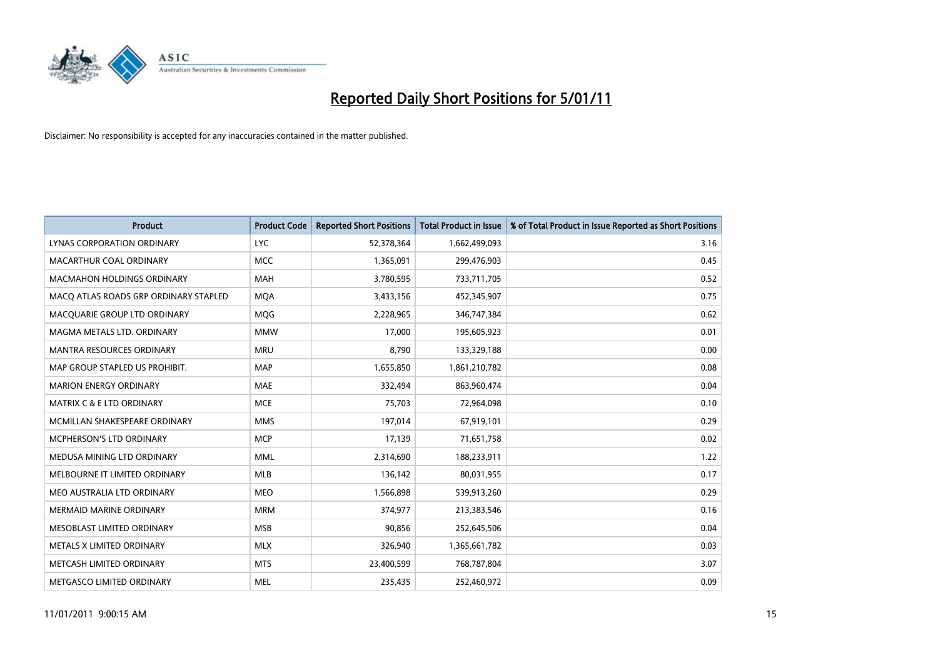

| Product                               | <b>Product Code</b> | <b>Reported Short Positions</b> | <b>Total Product in Issue</b> | % of Total Product in Issue Reported as Short Positions |
|---------------------------------------|---------------------|---------------------------------|-------------------------------|---------------------------------------------------------|
| <b>LYNAS CORPORATION ORDINARY</b>     | <b>LYC</b>          | 52,378,364                      | 1,662,499,093                 | 3.16                                                    |
| MACARTHUR COAL ORDINARY               | <b>MCC</b>          | 1,365,091                       | 299,476,903                   | 0.45                                                    |
| <b>MACMAHON HOLDINGS ORDINARY</b>     | MAH                 | 3,780,595                       | 733,711,705                   | 0.52                                                    |
| MACO ATLAS ROADS GRP ORDINARY STAPLED | <b>MOA</b>          | 3,433,156                       | 452,345,907                   | 0.75                                                    |
| MACQUARIE GROUP LTD ORDINARY          | <b>MOG</b>          | 2,228,965                       | 346,747,384                   | 0.62                                                    |
| MAGMA METALS LTD. ORDINARY            | <b>MMW</b>          | 17,000                          | 195,605,923                   | 0.01                                                    |
| <b>MANTRA RESOURCES ORDINARY</b>      | <b>MRU</b>          | 8,790                           | 133,329,188                   | 0.00                                                    |
| MAP GROUP STAPLED US PROHIBIT.        | <b>MAP</b>          | 1,655,850                       | 1,861,210,782                 | 0.08                                                    |
| <b>MARION ENERGY ORDINARY</b>         | <b>MAE</b>          | 332,494                         | 863,960,474                   | 0.04                                                    |
| MATRIX C & E LTD ORDINARY             | <b>MCE</b>          | 75,703                          | 72,964,098                    | 0.10                                                    |
| MCMILLAN SHAKESPEARE ORDINARY         | <b>MMS</b>          | 197,014                         | 67,919,101                    | 0.29                                                    |
| <b>MCPHERSON'S LTD ORDINARY</b>       | <b>MCP</b>          | 17,139                          | 71,651,758                    | 0.02                                                    |
| MEDUSA MINING LTD ORDINARY            | <b>MML</b>          | 2,314,690                       | 188,233,911                   | 1.22                                                    |
| MELBOURNE IT LIMITED ORDINARY         | <b>MLB</b>          | 136,142                         | 80,031,955                    | 0.17                                                    |
| MEO AUSTRALIA LTD ORDINARY            | <b>MEO</b>          | 1,566,898                       | 539,913,260                   | 0.29                                                    |
| <b>MERMAID MARINE ORDINARY</b>        | <b>MRM</b>          | 374,977                         | 213,383,546                   | 0.16                                                    |
| MESOBLAST LIMITED ORDINARY            | <b>MSB</b>          | 90,856                          | 252,645,506                   | 0.04                                                    |
| METALS X LIMITED ORDINARY             | <b>MLX</b>          | 326,940                         | 1,365,661,782                 | 0.03                                                    |
| METCASH LIMITED ORDINARY              | <b>MTS</b>          | 23,400,599                      | 768,787,804                   | 3.07                                                    |
| METGASCO LIMITED ORDINARY             | <b>MEL</b>          | 235,435                         | 252,460,972                   | 0.09                                                    |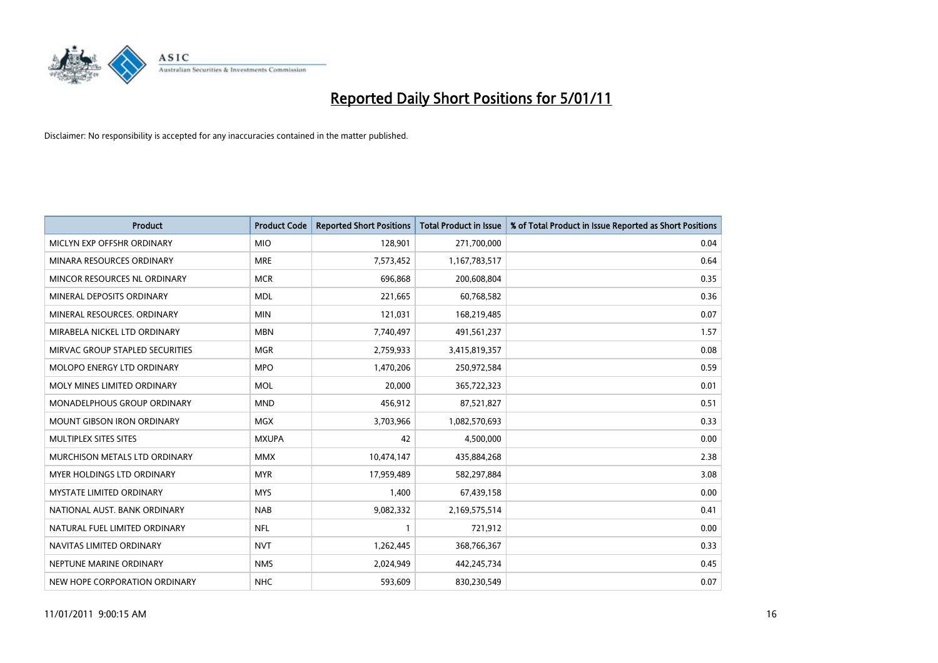

| Product                           | <b>Product Code</b> | <b>Reported Short Positions</b> | <b>Total Product in Issue</b> | % of Total Product in Issue Reported as Short Positions |
|-----------------------------------|---------------------|---------------------------------|-------------------------------|---------------------------------------------------------|
| MICLYN EXP OFFSHR ORDINARY        | <b>MIO</b>          | 128,901                         | 271,700,000                   | 0.04                                                    |
| MINARA RESOURCES ORDINARY         | <b>MRE</b>          | 7,573,452                       | 1,167,783,517                 | 0.64                                                    |
| MINCOR RESOURCES NL ORDINARY      | <b>MCR</b>          | 696,868                         | 200,608,804                   | 0.35                                                    |
| MINERAL DEPOSITS ORDINARY         | <b>MDL</b>          | 221,665                         | 60,768,582                    | 0.36                                                    |
| MINERAL RESOURCES, ORDINARY       | <b>MIN</b>          | 121,031                         | 168,219,485                   | 0.07                                                    |
| MIRABELA NICKEL LTD ORDINARY      | <b>MBN</b>          | 7,740,497                       | 491,561,237                   | 1.57                                                    |
| MIRVAC GROUP STAPLED SECURITIES   | <b>MGR</b>          | 2,759,933                       | 3,415,819,357                 | 0.08                                                    |
| <b>MOLOPO ENERGY LTD ORDINARY</b> | <b>MPO</b>          | 1,470,206                       | 250,972,584                   | 0.59                                                    |
| MOLY MINES LIMITED ORDINARY       | <b>MOL</b>          | 20,000                          | 365,722,323                   | 0.01                                                    |
| MONADELPHOUS GROUP ORDINARY       | <b>MND</b>          | 456,912                         | 87,521,827                    | 0.51                                                    |
| <b>MOUNT GIBSON IRON ORDINARY</b> | <b>MGX</b>          | 3,703,966                       | 1,082,570,693                 | 0.33                                                    |
| MULTIPLEX SITES SITES             | <b>MXUPA</b>        | 42                              | 4,500,000                     | 0.00                                                    |
| MURCHISON METALS LTD ORDINARY     | <b>MMX</b>          | 10,474,147                      | 435,884,268                   | 2.38                                                    |
| MYER HOLDINGS LTD ORDINARY        | <b>MYR</b>          | 17,959,489                      | 582,297,884                   | 3.08                                                    |
| <b>MYSTATE LIMITED ORDINARY</b>   | <b>MYS</b>          | 1,400                           | 67,439,158                    | 0.00                                                    |
| NATIONAL AUST, BANK ORDINARY      | <b>NAB</b>          | 9,082,332                       | 2,169,575,514                 | 0.41                                                    |
| NATURAL FUEL LIMITED ORDINARY     | <b>NFL</b>          | 1                               | 721,912                       | 0.00                                                    |
| NAVITAS LIMITED ORDINARY          | <b>NVT</b>          | 1,262,445                       | 368,766,367                   | 0.33                                                    |
| NEPTUNE MARINE ORDINARY           | <b>NMS</b>          | 2,024,949                       | 442,245,734                   | 0.45                                                    |
| NEW HOPE CORPORATION ORDINARY     | <b>NHC</b>          | 593,609                         | 830,230,549                   | 0.07                                                    |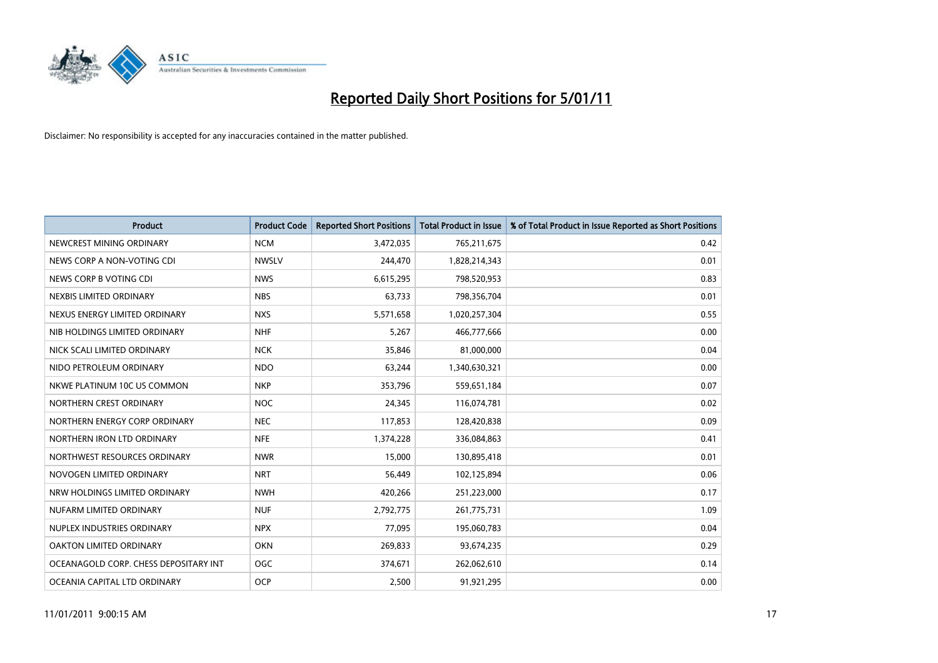

| Product                               | <b>Product Code</b> | <b>Reported Short Positions</b> | <b>Total Product in Issue</b> | % of Total Product in Issue Reported as Short Positions |
|---------------------------------------|---------------------|---------------------------------|-------------------------------|---------------------------------------------------------|
| NEWCREST MINING ORDINARY              | <b>NCM</b>          | 3,472,035                       | 765,211,675                   | 0.42                                                    |
| NEWS CORP A NON-VOTING CDI            | <b>NWSLV</b>        | 244,470                         | 1,828,214,343                 | 0.01                                                    |
| NEWS CORP B VOTING CDI                | <b>NWS</b>          | 6,615,295                       | 798,520,953                   | 0.83                                                    |
| NEXBIS LIMITED ORDINARY               | <b>NBS</b>          | 63,733                          | 798,356,704                   | 0.01                                                    |
| NEXUS ENERGY LIMITED ORDINARY         | <b>NXS</b>          | 5,571,658                       | 1,020,257,304                 | 0.55                                                    |
| NIB HOLDINGS LIMITED ORDINARY         | <b>NHF</b>          | 5,267                           | 466,777,666                   | 0.00                                                    |
| NICK SCALI LIMITED ORDINARY           | <b>NCK</b>          | 35,846                          | 81,000,000                    | 0.04                                                    |
| NIDO PETROLEUM ORDINARY               | <b>NDO</b>          | 63,244                          | 1,340,630,321                 | 0.00                                                    |
| NKWE PLATINUM 10C US COMMON           | <b>NKP</b>          | 353,796                         | 559,651,184                   | 0.07                                                    |
| NORTHERN CREST ORDINARY               | <b>NOC</b>          | 24,345                          | 116,074,781                   | 0.02                                                    |
| NORTHERN ENERGY CORP ORDINARY         | <b>NEC</b>          | 117,853                         | 128,420,838                   | 0.09                                                    |
| NORTHERN IRON LTD ORDINARY            | <b>NFE</b>          | 1,374,228                       | 336,084,863                   | 0.41                                                    |
| NORTHWEST RESOURCES ORDINARY          | <b>NWR</b>          | 15,000                          | 130,895,418                   | 0.01                                                    |
| NOVOGEN LIMITED ORDINARY              | <b>NRT</b>          | 56,449                          | 102,125,894                   | 0.06                                                    |
| NRW HOLDINGS LIMITED ORDINARY         | <b>NWH</b>          | 420,266                         | 251,223,000                   | 0.17                                                    |
| NUFARM LIMITED ORDINARY               | <b>NUF</b>          | 2,792,775                       | 261,775,731                   | 1.09                                                    |
| NUPLEX INDUSTRIES ORDINARY            | <b>NPX</b>          | 77,095                          | 195,060,783                   | 0.04                                                    |
| OAKTON LIMITED ORDINARY               | <b>OKN</b>          | 269,833                         | 93,674,235                    | 0.29                                                    |
| OCEANAGOLD CORP. CHESS DEPOSITARY INT | <b>OGC</b>          | 374,671                         | 262,062,610                   | 0.14                                                    |
| OCEANIA CAPITAL LTD ORDINARY          | <b>OCP</b>          | 2,500                           | 91,921,295                    | 0.00                                                    |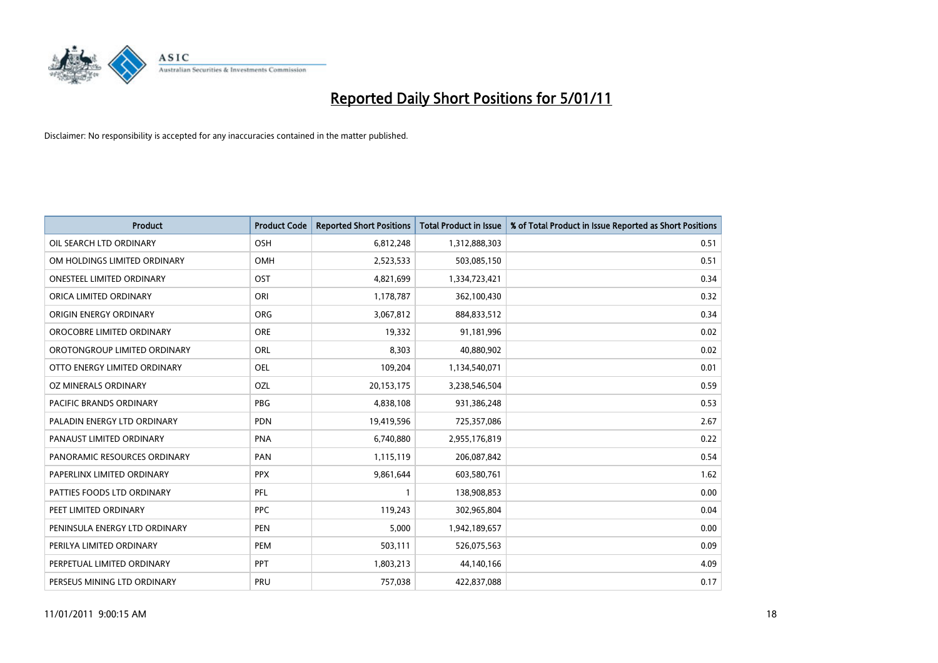

| Product                          | <b>Product Code</b> | <b>Reported Short Positions</b> | <b>Total Product in Issue</b> | % of Total Product in Issue Reported as Short Positions |
|----------------------------------|---------------------|---------------------------------|-------------------------------|---------------------------------------------------------|
| OIL SEARCH LTD ORDINARY          | OSH                 | 6,812,248                       | 1,312,888,303                 | 0.51                                                    |
| OM HOLDINGS LIMITED ORDINARY     | OMH                 | 2,523,533                       | 503,085,150                   | 0.51                                                    |
| <b>ONESTEEL LIMITED ORDINARY</b> | OST                 | 4,821,699                       | 1,334,723,421                 | 0.34                                                    |
| ORICA LIMITED ORDINARY           | ORI                 | 1,178,787                       | 362,100,430                   | 0.32                                                    |
| ORIGIN ENERGY ORDINARY           | ORG                 | 3,067,812                       | 884,833,512                   | 0.34                                                    |
| OROCOBRE LIMITED ORDINARY        | <b>ORE</b>          | 19,332                          | 91,181,996                    | 0.02                                                    |
| OROTONGROUP LIMITED ORDINARY     | <b>ORL</b>          | 8,303                           | 40,880,902                    | 0.02                                                    |
| OTTO ENERGY LIMITED ORDINARY     | OEL                 | 109,204                         | 1,134,540,071                 | 0.01                                                    |
| <b>OZ MINERALS ORDINARY</b>      | OZL                 | 20,153,175                      | 3,238,546,504                 | 0.59                                                    |
| <b>PACIFIC BRANDS ORDINARY</b>   | <b>PBG</b>          | 4,838,108                       | 931,386,248                   | 0.53                                                    |
| PALADIN ENERGY LTD ORDINARY      | <b>PDN</b>          | 19,419,596                      | 725,357,086                   | 2.67                                                    |
| PANAUST LIMITED ORDINARY         | <b>PNA</b>          | 6,740,880                       | 2,955,176,819                 | 0.22                                                    |
| PANORAMIC RESOURCES ORDINARY     | PAN                 | 1,115,119                       | 206,087,842                   | 0.54                                                    |
| PAPERLINX LIMITED ORDINARY       | <b>PPX</b>          | 9,861,644                       | 603,580,761                   | 1.62                                                    |
| PATTIES FOODS LTD ORDINARY       | <b>PFL</b>          | $\mathbf{1}$                    | 138,908,853                   | 0.00                                                    |
| PEET LIMITED ORDINARY            | <b>PPC</b>          | 119,243                         | 302,965,804                   | 0.04                                                    |
| PENINSULA ENERGY LTD ORDINARY    | <b>PEN</b>          | 5,000                           | 1,942,189,657                 | 0.00                                                    |
| PERILYA LIMITED ORDINARY         | PEM                 | 503,111                         | 526,075,563                   | 0.09                                                    |
| PERPETUAL LIMITED ORDINARY       | PPT                 | 1,803,213                       | 44,140,166                    | 4.09                                                    |
| PERSEUS MINING LTD ORDINARY      | PRU                 | 757,038                         | 422,837,088                   | 0.17                                                    |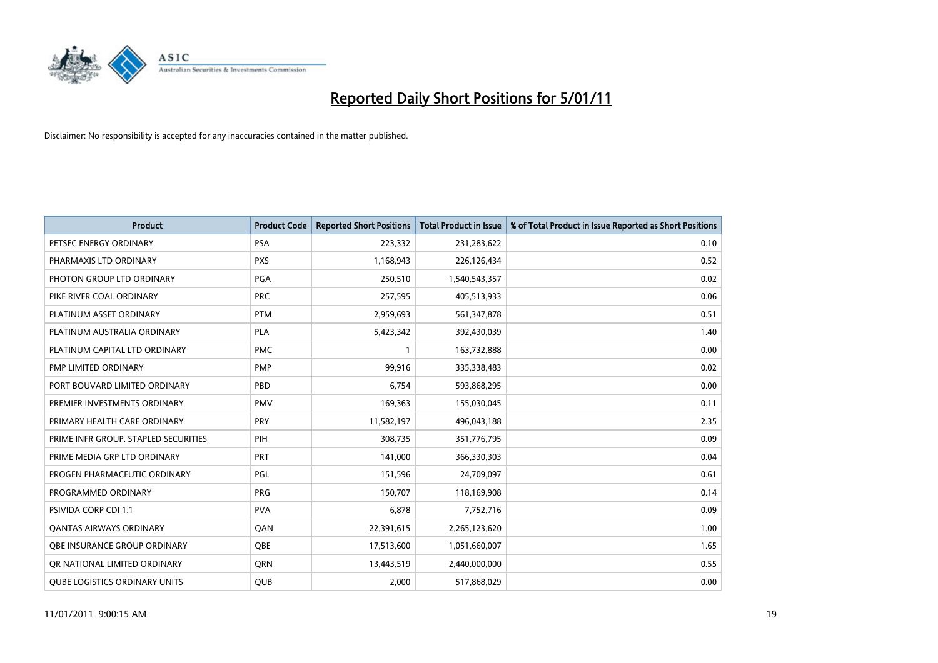

| Product                              | <b>Product Code</b> | <b>Reported Short Positions</b> | <b>Total Product in Issue</b> | % of Total Product in Issue Reported as Short Positions |
|--------------------------------------|---------------------|---------------------------------|-------------------------------|---------------------------------------------------------|
| PETSEC ENERGY ORDINARY               | <b>PSA</b>          | 223,332                         | 231,283,622                   | 0.10                                                    |
| PHARMAXIS LTD ORDINARY               | <b>PXS</b>          | 1,168,943                       | 226,126,434                   | 0.52                                                    |
| PHOTON GROUP LTD ORDINARY            | PGA                 | 250,510                         | 1,540,543,357                 | 0.02                                                    |
| PIKE RIVER COAL ORDINARY             | <b>PRC</b>          | 257,595                         | 405,513,933                   | 0.06                                                    |
| PLATINUM ASSET ORDINARY              | <b>PTM</b>          | 2,959,693                       | 561,347,878                   | 0.51                                                    |
| PLATINUM AUSTRALIA ORDINARY          | <b>PLA</b>          | 5,423,342                       | 392,430,039                   | 1.40                                                    |
| PLATINUM CAPITAL LTD ORDINARY        | <b>PMC</b>          |                                 | 163,732,888                   | 0.00                                                    |
| PMP LIMITED ORDINARY                 | <b>PMP</b>          | 99,916                          | 335,338,483                   | 0.02                                                    |
| PORT BOUVARD LIMITED ORDINARY        | PBD                 | 6,754                           | 593,868,295                   | 0.00                                                    |
| PREMIER INVESTMENTS ORDINARY         | <b>PMV</b>          | 169,363                         | 155,030,045                   | 0.11                                                    |
| PRIMARY HEALTH CARE ORDINARY         | <b>PRY</b>          | 11,582,197                      | 496,043,188                   | 2.35                                                    |
| PRIME INFR GROUP. STAPLED SECURITIES | PIH                 | 308,735                         | 351,776,795                   | 0.09                                                    |
| PRIME MEDIA GRP LTD ORDINARY         | PRT                 | 141,000                         | 366,330,303                   | 0.04                                                    |
| PROGEN PHARMACEUTIC ORDINARY         | <b>PGL</b>          | 151,596                         | 24,709,097                    | 0.61                                                    |
| PROGRAMMED ORDINARY                  | <b>PRG</b>          | 150,707                         | 118,169,908                   | 0.14                                                    |
| PSIVIDA CORP CDI 1:1                 | <b>PVA</b>          | 6,878                           | 7,752,716                     | 0.09                                                    |
| <b>QANTAS AIRWAYS ORDINARY</b>       | QAN                 | 22,391,615                      | 2,265,123,620                 | 1.00                                                    |
| OBE INSURANCE GROUP ORDINARY         | <b>OBE</b>          | 17,513,600                      | 1,051,660,007                 | 1.65                                                    |
| OR NATIONAL LIMITED ORDINARY         | <b>ORN</b>          | 13,443,519                      | 2,440,000,000                 | 0.55                                                    |
| <b>QUBE LOGISTICS ORDINARY UNITS</b> | QUB                 | 2,000                           | 517,868,029                   | 0.00                                                    |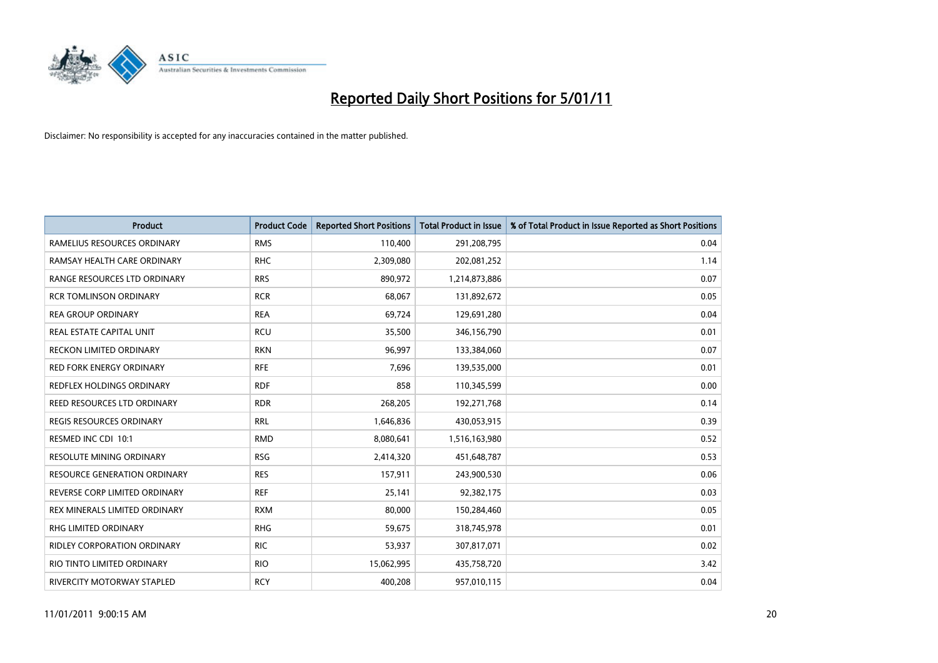

| Product                             | <b>Product Code</b> | <b>Reported Short Positions</b> | <b>Total Product in Issue</b> | % of Total Product in Issue Reported as Short Positions |
|-------------------------------------|---------------------|---------------------------------|-------------------------------|---------------------------------------------------------|
| RAMELIUS RESOURCES ORDINARY         | <b>RMS</b>          | 110,400                         | 291,208,795                   | 0.04                                                    |
| RAMSAY HEALTH CARE ORDINARY         | <b>RHC</b>          | 2,309,080                       | 202,081,252                   | 1.14                                                    |
| RANGE RESOURCES LTD ORDINARY        | <b>RRS</b>          | 890,972                         | 1,214,873,886                 | 0.07                                                    |
| <b>RCR TOMLINSON ORDINARY</b>       | <b>RCR</b>          | 68,067                          | 131,892,672                   | 0.05                                                    |
| <b>REA GROUP ORDINARY</b>           | <b>REA</b>          | 69,724                          | 129,691,280                   | 0.04                                                    |
| REAL ESTATE CAPITAL UNIT            | <b>RCU</b>          | 35,500                          | 346,156,790                   | 0.01                                                    |
| <b>RECKON LIMITED ORDINARY</b>      | <b>RKN</b>          | 96,997                          | 133,384,060                   | 0.07                                                    |
| RED FORK ENERGY ORDINARY            | <b>RFE</b>          | 7,696                           | 139,535,000                   | 0.01                                                    |
| REDFLEX HOLDINGS ORDINARY           | <b>RDF</b>          | 858                             | 110,345,599                   | 0.00                                                    |
| <b>REED RESOURCES LTD ORDINARY</b>  | <b>RDR</b>          | 268,205                         | 192,271,768                   | 0.14                                                    |
| <b>REGIS RESOURCES ORDINARY</b>     | <b>RRL</b>          | 1,646,836                       | 430,053,915                   | 0.39                                                    |
| RESMED INC CDI 10:1                 | <b>RMD</b>          | 8,080,641                       | 1,516,163,980                 | 0.52                                                    |
| <b>RESOLUTE MINING ORDINARY</b>     | <b>RSG</b>          | 2,414,320                       | 451,648,787                   | 0.53                                                    |
| <b>RESOURCE GENERATION ORDINARY</b> | <b>RES</b>          | 157,911                         | 243,900,530                   | 0.06                                                    |
| REVERSE CORP LIMITED ORDINARY       | <b>REF</b>          | 25,141                          | 92,382,175                    | 0.03                                                    |
| REX MINERALS LIMITED ORDINARY       | <b>RXM</b>          | 80.000                          | 150,284,460                   | 0.05                                                    |
| RHG LIMITED ORDINARY                | <b>RHG</b>          | 59,675                          | 318,745,978                   | 0.01                                                    |
| RIDLEY CORPORATION ORDINARY         | <b>RIC</b>          | 53,937                          | 307,817,071                   | 0.02                                                    |
| RIO TINTO LIMITED ORDINARY          | <b>RIO</b>          | 15,062,995                      | 435,758,720                   | 3.42                                                    |
| RIVERCITY MOTORWAY STAPLED          | <b>RCY</b>          | 400,208                         | 957,010,115                   | 0.04                                                    |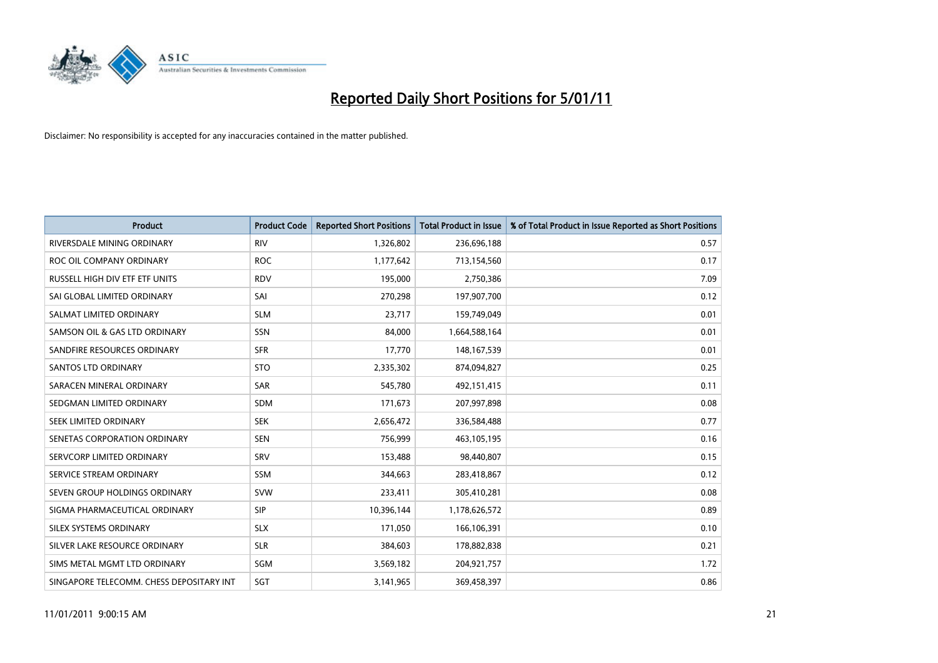

| <b>Product</b>                           | <b>Product Code</b> | <b>Reported Short Positions</b> | <b>Total Product in Issue</b> | % of Total Product in Issue Reported as Short Positions |
|------------------------------------------|---------------------|---------------------------------|-------------------------------|---------------------------------------------------------|
| RIVERSDALE MINING ORDINARY               | <b>RIV</b>          | 1,326,802                       | 236,696,188                   | 0.57                                                    |
| ROC OIL COMPANY ORDINARY                 | <b>ROC</b>          | 1,177,642                       | 713,154,560                   | 0.17                                                    |
| RUSSELL HIGH DIV ETF ETF UNITS           | <b>RDV</b>          | 195,000                         | 2,750,386                     | 7.09                                                    |
| SAI GLOBAL LIMITED ORDINARY              | SAI                 | 270,298                         | 197,907,700                   | 0.12                                                    |
| SALMAT LIMITED ORDINARY                  | <b>SLM</b>          | 23,717                          | 159,749,049                   | 0.01                                                    |
| SAMSON OIL & GAS LTD ORDINARY            | SSN                 | 84,000                          | 1,664,588,164                 | 0.01                                                    |
| SANDFIRE RESOURCES ORDINARY              | <b>SFR</b>          | 17.770                          | 148,167,539                   | 0.01                                                    |
| <b>SANTOS LTD ORDINARY</b>               | <b>STO</b>          | 2,335,302                       | 874,094,827                   | 0.25                                                    |
| SARACEN MINERAL ORDINARY                 | <b>SAR</b>          | 545,780                         | 492,151,415                   | 0.11                                                    |
| SEDGMAN LIMITED ORDINARY                 | <b>SDM</b>          | 171,673                         | 207,997,898                   | 0.08                                                    |
| SEEK LIMITED ORDINARY                    | <b>SEK</b>          | 2,656,472                       | 336,584,488                   | 0.77                                                    |
| SENETAS CORPORATION ORDINARY             | <b>SEN</b>          | 756,999                         | 463,105,195                   | 0.16                                                    |
| SERVCORP LIMITED ORDINARY                | SRV                 | 153,488                         | 98,440,807                    | 0.15                                                    |
| SERVICE STREAM ORDINARY                  | SSM                 | 344,663                         | 283,418,867                   | 0.12                                                    |
| SEVEN GROUP HOLDINGS ORDINARY            | <b>SVW</b>          | 233,411                         | 305,410,281                   | 0.08                                                    |
| SIGMA PHARMACEUTICAL ORDINARY            | <b>SIP</b>          | 10,396,144                      | 1,178,626,572                 | 0.89                                                    |
| SILEX SYSTEMS ORDINARY                   | <b>SLX</b>          | 171,050                         | 166,106,391                   | 0.10                                                    |
| SILVER LAKE RESOURCE ORDINARY            | <b>SLR</b>          | 384,603                         | 178,882,838                   | 0.21                                                    |
| SIMS METAL MGMT LTD ORDINARY             | SGM                 | 3,569,182                       | 204,921,757                   | 1.72                                                    |
| SINGAPORE TELECOMM. CHESS DEPOSITARY INT | SGT                 | 3,141,965                       | 369,458,397                   | 0.86                                                    |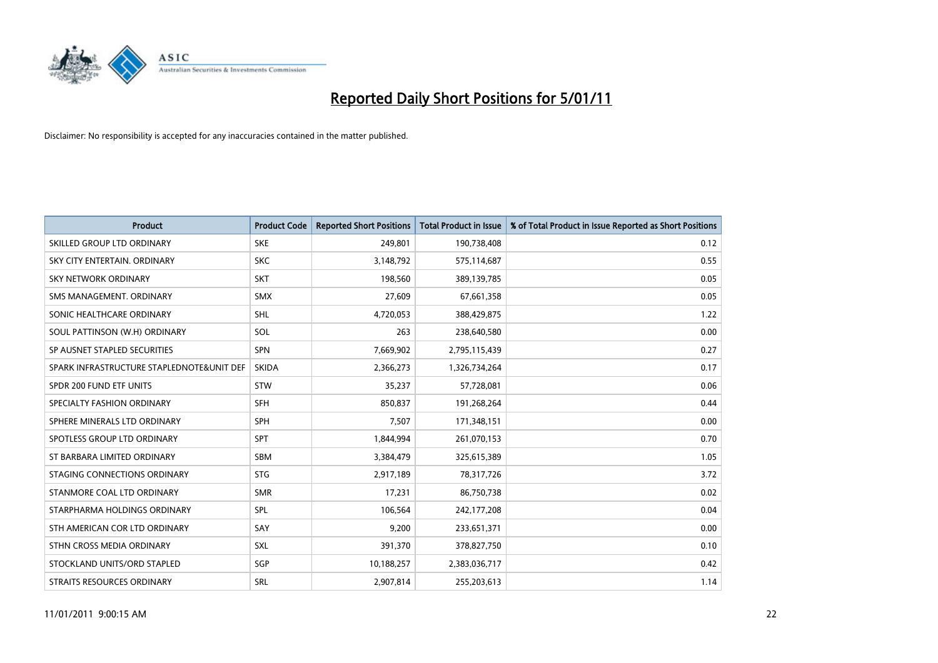

| <b>Product</b>                            | <b>Product Code</b> | <b>Reported Short Positions</b> | <b>Total Product in Issue</b> | % of Total Product in Issue Reported as Short Positions |
|-------------------------------------------|---------------------|---------------------------------|-------------------------------|---------------------------------------------------------|
| SKILLED GROUP LTD ORDINARY                | <b>SKE</b>          | 249,801                         | 190,738,408                   | 0.12                                                    |
| SKY CITY ENTERTAIN, ORDINARY              | <b>SKC</b>          | 3,148,792                       | 575,114,687                   | 0.55                                                    |
| <b>SKY NETWORK ORDINARY</b>               | <b>SKT</b>          | 198,560                         | 389,139,785                   | 0.05                                                    |
| SMS MANAGEMENT, ORDINARY                  | <b>SMX</b>          | 27,609                          | 67,661,358                    | 0.05                                                    |
| SONIC HEALTHCARE ORDINARY                 | <b>SHL</b>          | 4,720,053                       | 388,429,875                   | 1.22                                                    |
| SOUL PATTINSON (W.H) ORDINARY             | SOL                 | 263                             | 238,640,580                   | 0.00                                                    |
| SP AUSNET STAPLED SECURITIES              | <b>SPN</b>          | 7,669,902                       | 2,795,115,439                 | 0.27                                                    |
| SPARK INFRASTRUCTURE STAPLEDNOTE&UNIT DEF | <b>SKIDA</b>        | 2,366,273                       | 1,326,734,264                 | 0.17                                                    |
| SPDR 200 FUND ETF UNITS                   | <b>STW</b>          | 35,237                          | 57,728,081                    | 0.06                                                    |
| SPECIALTY FASHION ORDINARY                | <b>SFH</b>          | 850,837                         | 191,268,264                   | 0.44                                                    |
| SPHERE MINERALS LTD ORDINARY              | SPH                 | 7,507                           | 171,348,151                   | 0.00                                                    |
| SPOTLESS GROUP LTD ORDINARY               | <b>SPT</b>          | 1,844,994                       | 261,070,153                   | 0.70                                                    |
| ST BARBARA LIMITED ORDINARY               | <b>SBM</b>          | 3,384,479                       | 325,615,389                   | 1.05                                                    |
| STAGING CONNECTIONS ORDINARY              | <b>STG</b>          | 2,917,189                       | 78,317,726                    | 3.72                                                    |
| STANMORE COAL LTD ORDINARY                | <b>SMR</b>          | 17,231                          | 86,750,738                    | 0.02                                                    |
| STARPHARMA HOLDINGS ORDINARY              | SPL                 | 106,564                         | 242,177,208                   | 0.04                                                    |
| STH AMERICAN COR LTD ORDINARY             | SAY                 | 9,200                           | 233,651,371                   | 0.00                                                    |
| STHN CROSS MEDIA ORDINARY                 | <b>SXL</b>          | 391,370                         | 378,827,750                   | 0.10                                                    |
| STOCKLAND UNITS/ORD STAPLED               | SGP                 | 10,188,257                      | 2,383,036,717                 | 0.42                                                    |
| STRAITS RESOURCES ORDINARY                | SRL                 | 2,907,814                       | 255,203,613                   | 1.14                                                    |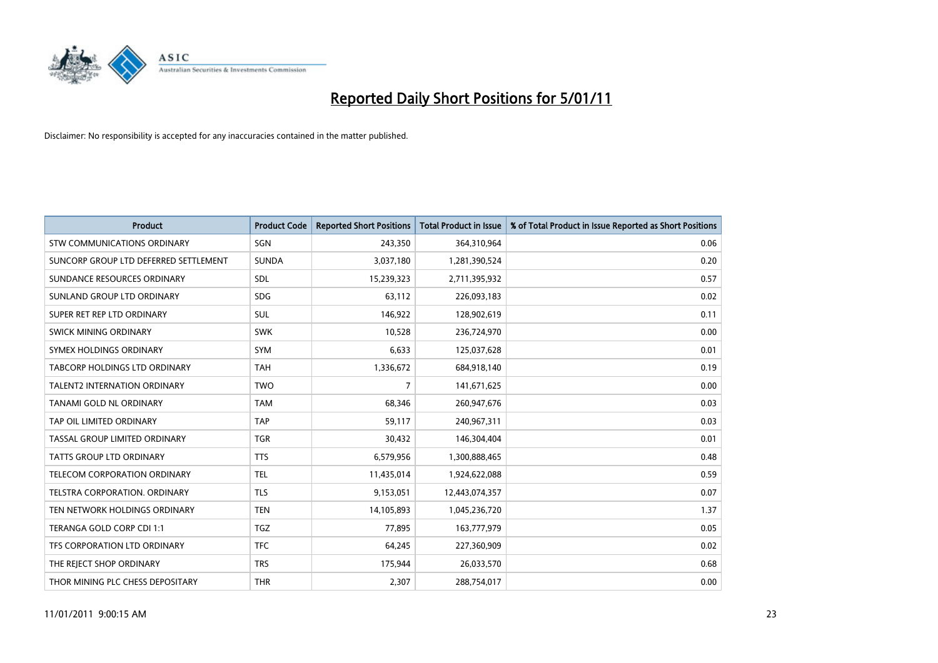

| Product                               | <b>Product Code</b> | <b>Reported Short Positions</b> | <b>Total Product in Issue</b> | % of Total Product in Issue Reported as Short Positions |
|---------------------------------------|---------------------|---------------------------------|-------------------------------|---------------------------------------------------------|
| STW COMMUNICATIONS ORDINARY           | SGN                 | 243,350                         | 364,310,964                   | 0.06                                                    |
| SUNCORP GROUP LTD DEFERRED SETTLEMENT | <b>SUNDA</b>        | 3,037,180                       | 1,281,390,524                 | 0.20                                                    |
| SUNDANCE RESOURCES ORDINARY           | SDL                 | 15,239,323                      | 2,711,395,932                 | 0.57                                                    |
| SUNLAND GROUP LTD ORDINARY            | <b>SDG</b>          | 63,112                          | 226,093,183                   | 0.02                                                    |
| SUPER RET REP LTD ORDINARY            | <b>SUL</b>          | 146,922                         | 128,902,619                   | 0.11                                                    |
| SWICK MINING ORDINARY                 | <b>SWK</b>          | 10,528                          | 236,724,970                   | 0.00                                                    |
| SYMEX HOLDINGS ORDINARY               | SYM                 | 6,633                           | 125,037,628                   | 0.01                                                    |
| TABCORP HOLDINGS LTD ORDINARY         | <b>TAH</b>          | 1,336,672                       | 684,918,140                   | 0.19                                                    |
| <b>TALENT2 INTERNATION ORDINARY</b>   | <b>TWO</b>          | 7                               | 141,671,625                   | 0.00                                                    |
| TANAMI GOLD NL ORDINARY               | <b>TAM</b>          | 68,346                          | 260,947,676                   | 0.03                                                    |
| TAP OIL LIMITED ORDINARY              | <b>TAP</b>          | 59,117                          | 240,967,311                   | 0.03                                                    |
| TASSAL GROUP LIMITED ORDINARY         | <b>TGR</b>          | 30,432                          | 146,304,404                   | 0.01                                                    |
| <b>TATTS GROUP LTD ORDINARY</b>       | <b>TTS</b>          | 6,579,956                       | 1,300,888,465                 | 0.48                                                    |
| TELECOM CORPORATION ORDINARY          | <b>TEL</b>          | 11,435,014                      | 1,924,622,088                 | 0.59                                                    |
| TELSTRA CORPORATION, ORDINARY         | <b>TLS</b>          | 9,153,051                       | 12,443,074,357                | 0.07                                                    |
| TEN NETWORK HOLDINGS ORDINARY         | <b>TEN</b>          | 14,105,893                      | 1,045,236,720                 | 1.37                                                    |
| TERANGA GOLD CORP CDI 1:1             | <b>TGZ</b>          | 77,895                          | 163,777,979                   | 0.05                                                    |
| TFS CORPORATION LTD ORDINARY          | <b>TFC</b>          | 64,245                          | 227,360,909                   | 0.02                                                    |
| THE REJECT SHOP ORDINARY              | <b>TRS</b>          | 175,944                         | 26,033,570                    | 0.68                                                    |
| THOR MINING PLC CHESS DEPOSITARY      | <b>THR</b>          | 2,307                           | 288,754,017                   | 0.00                                                    |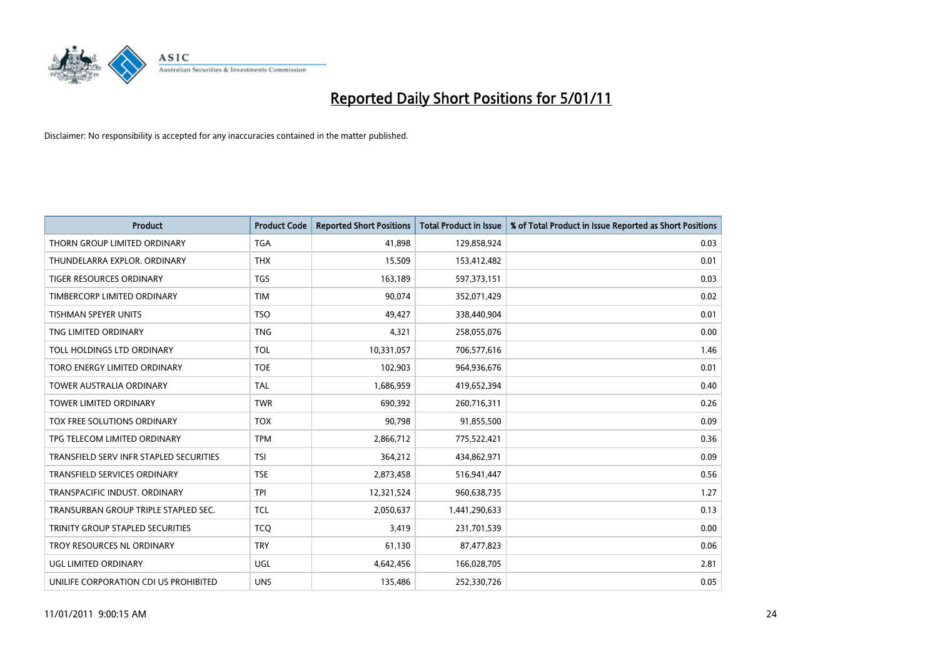

| <b>Product</b>                          | <b>Product Code</b> | <b>Reported Short Positions</b> | <b>Total Product in Issue</b> | % of Total Product in Issue Reported as Short Positions |
|-----------------------------------------|---------------------|---------------------------------|-------------------------------|---------------------------------------------------------|
| THORN GROUP LIMITED ORDINARY            | <b>TGA</b>          | 41,898                          | 129,858,924                   | 0.03                                                    |
| THUNDELARRA EXPLOR. ORDINARY            | <b>THX</b>          | 15,509                          | 153,412,482                   | 0.01                                                    |
| <b>TIGER RESOURCES ORDINARY</b>         | <b>TGS</b>          | 163,189                         | 597,373,151                   | 0.03                                                    |
| TIMBERCORP LIMITED ORDINARY             | <b>TIM</b>          | 90,074                          | 352,071,429                   | 0.02                                                    |
| <b>TISHMAN SPEYER UNITS</b>             | <b>TSO</b>          | 49,427                          | 338,440,904                   | 0.01                                                    |
| TNG LIMITED ORDINARY                    | <b>TNG</b>          | 4,321                           | 258,055,076                   | 0.00                                                    |
| TOLL HOLDINGS LTD ORDINARY              | <b>TOL</b>          | 10,331,057                      | 706,577,616                   | 1.46                                                    |
| TORO ENERGY LIMITED ORDINARY            | <b>TOE</b>          | 102,903                         | 964,936,676                   | 0.01                                                    |
| TOWER AUSTRALIA ORDINARY                | <b>TAL</b>          | 1,686,959                       | 419,652,394                   | 0.40                                                    |
| <b>TOWER LIMITED ORDINARY</b>           | <b>TWR</b>          | 690,392                         | 260,716,311                   | 0.26                                                    |
| TOX FREE SOLUTIONS ORDINARY             | <b>TOX</b>          | 90,798                          | 91,855,500                    | 0.09                                                    |
| TPG TELECOM LIMITED ORDINARY            | <b>TPM</b>          | 2,866,712                       | 775,522,421                   | 0.36                                                    |
| TRANSFIELD SERV INFR STAPLED SECURITIES | <b>TSI</b>          | 364,212                         | 434,862,971                   | 0.09                                                    |
| <b>TRANSFIELD SERVICES ORDINARY</b>     | <b>TSE</b>          | 2,873,458                       | 516,941,447                   | 0.56                                                    |
| TRANSPACIFIC INDUST, ORDINARY           | <b>TPI</b>          | 12,321,524                      | 960,638,735                   | 1.27                                                    |
| TRANSURBAN GROUP TRIPLE STAPLED SEC.    | <b>TCL</b>          | 2,050,637                       | 1,441,290,633                 | 0.13                                                    |
| TRINITY GROUP STAPLED SECURITIES        | <b>TCO</b>          | 3,419                           | 231,701,539                   | 0.00                                                    |
| TROY RESOURCES NL ORDINARY              | <b>TRY</b>          | 61,130                          | 87,477,823                    | 0.06                                                    |
| <b>UGL LIMITED ORDINARY</b>             | <b>UGL</b>          | 4,642,456                       | 166,028,705                   | 2.81                                                    |
| UNILIFE CORPORATION CDI US PROHIBITED   | <b>UNS</b>          | 135,486                         | 252,330,726                   | 0.05                                                    |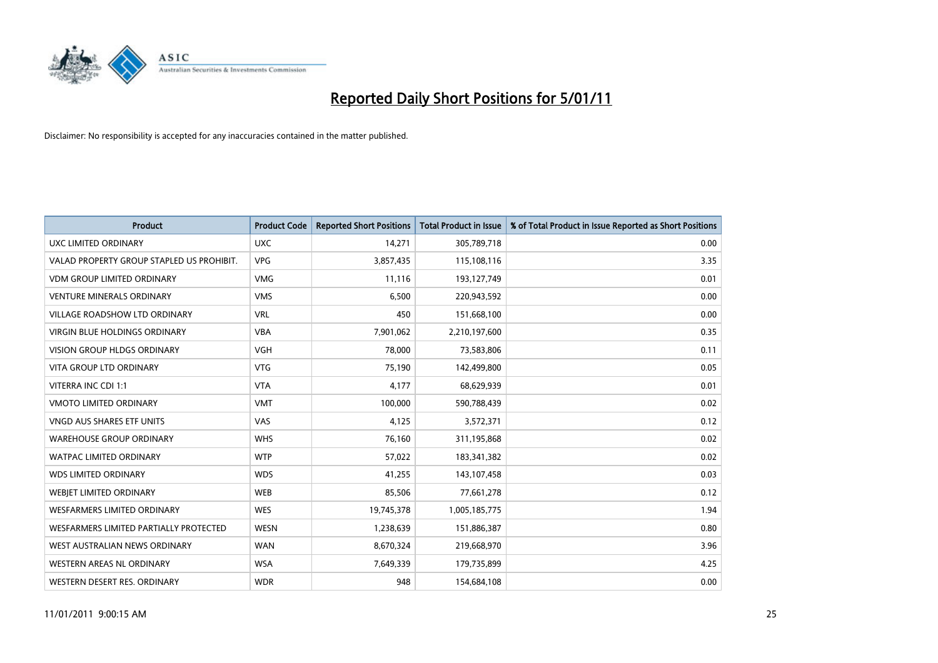

| Product                                   | <b>Product Code</b> | <b>Reported Short Positions</b> | <b>Total Product in Issue</b> | % of Total Product in Issue Reported as Short Positions |
|-------------------------------------------|---------------------|---------------------------------|-------------------------------|---------------------------------------------------------|
| UXC LIMITED ORDINARY                      | <b>UXC</b>          | 14,271                          | 305,789,718                   | 0.00                                                    |
| VALAD PROPERTY GROUP STAPLED US PROHIBIT. | <b>VPG</b>          | 3,857,435                       | 115,108,116                   | 3.35                                                    |
| <b>VDM GROUP LIMITED ORDINARY</b>         | <b>VMG</b>          | 11,116                          | 193,127,749                   | 0.01                                                    |
| <b>VENTURE MINERALS ORDINARY</b>          | <b>VMS</b>          | 6,500                           | 220,943,592                   | 0.00                                                    |
| VILLAGE ROADSHOW LTD ORDINARY             | <b>VRL</b>          | 450                             | 151,668,100                   | 0.00                                                    |
| <b>VIRGIN BLUE HOLDINGS ORDINARY</b>      | <b>VBA</b>          | 7,901,062                       | 2,210,197,600                 | 0.35                                                    |
| <b>VISION GROUP HLDGS ORDINARY</b>        | <b>VGH</b>          | 78,000                          | 73,583,806                    | 0.11                                                    |
| <b>VITA GROUP LTD ORDINARY</b>            | <b>VTG</b>          | 75,190                          | 142,499,800                   | 0.05                                                    |
| VITERRA INC CDI 1:1                       | <b>VTA</b>          | 4,177                           | 68,629,939                    | 0.01                                                    |
| <b>VMOTO LIMITED ORDINARY</b>             | <b>VMT</b>          | 100,000                         | 590,788,439                   | 0.02                                                    |
| VNGD AUS SHARES ETF UNITS                 | VAS                 | 4,125                           | 3,572,371                     | 0.12                                                    |
| <b>WAREHOUSE GROUP ORDINARY</b>           | <b>WHS</b>          | 76,160                          | 311,195,868                   | 0.02                                                    |
| WATPAC LIMITED ORDINARY                   | <b>WTP</b>          | 57,022                          | 183,341,382                   | 0.02                                                    |
| <b>WDS LIMITED ORDINARY</b>               | <b>WDS</b>          | 41,255                          | 143,107,458                   | 0.03                                                    |
| WEBJET LIMITED ORDINARY                   | <b>WEB</b>          | 85,506                          | 77,661,278                    | 0.12                                                    |
| <b>WESFARMERS LIMITED ORDINARY</b>        | <b>WES</b>          | 19,745,378                      | 1,005,185,775                 | 1.94                                                    |
| WESFARMERS LIMITED PARTIALLY PROTECTED    | <b>WESN</b>         | 1,238,639                       | 151,886,387                   | 0.80                                                    |
| WEST AUSTRALIAN NEWS ORDINARY             | <b>WAN</b>          | 8,670,324                       | 219,668,970                   | 3.96                                                    |
| WESTERN AREAS NL ORDINARY                 | <b>WSA</b>          | 7,649,339                       | 179,735,899                   | 4.25                                                    |
| WESTERN DESERT RES. ORDINARY              | <b>WDR</b>          | 948                             | 154,684,108                   | 0.00                                                    |